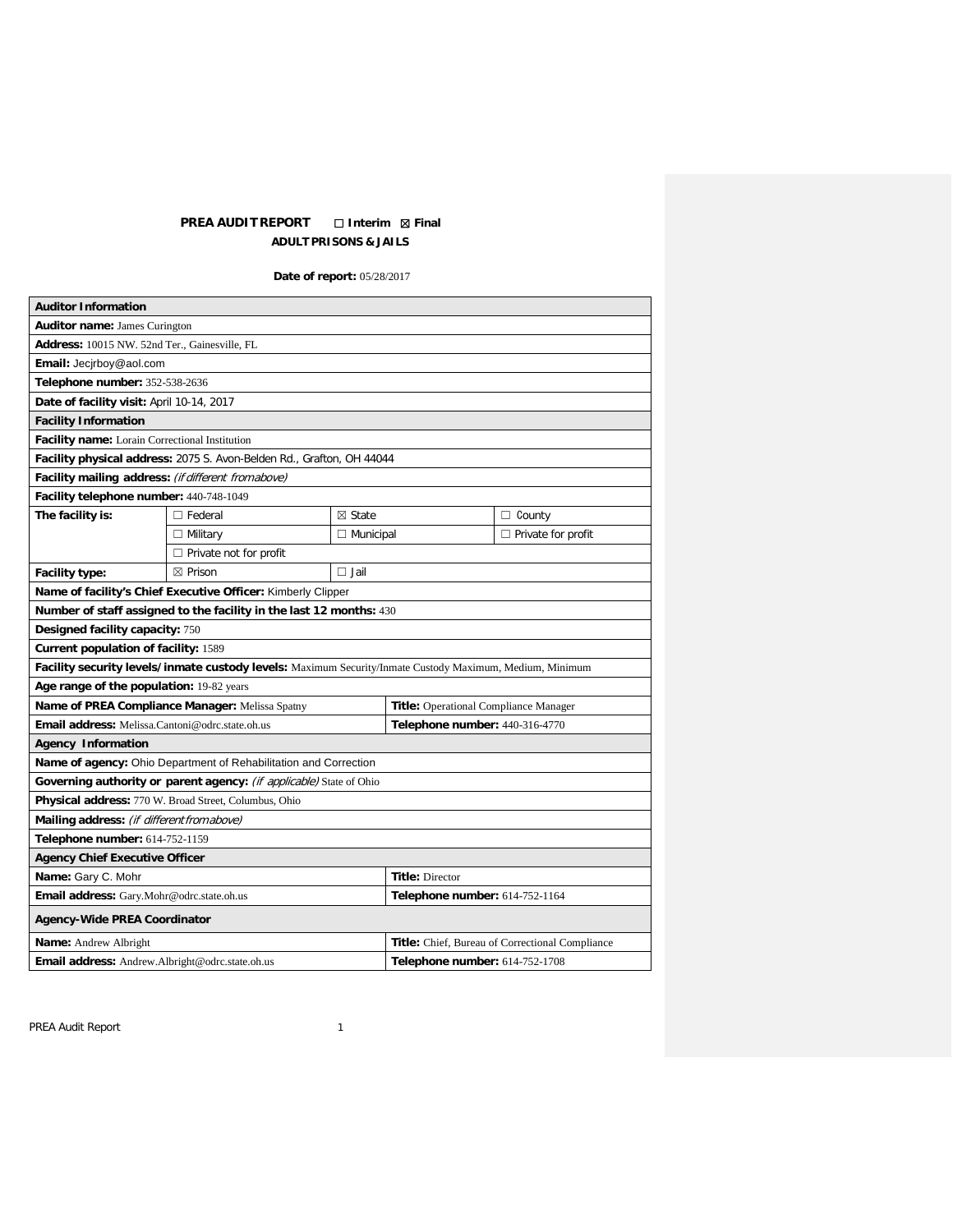# **PREA AUDIT REPORT** ☐ **Interim** ☒ **Final ADULT PRISONS & JAILS**

**Date of report:** 05/28/2017

| <b>Auditor Information</b>                                                                               |                                                                     |                                                 |                                |                      |  |  |
|----------------------------------------------------------------------------------------------------------|---------------------------------------------------------------------|-------------------------------------------------|--------------------------------|----------------------|--|--|
| <b>Auditor name: James Curington</b>                                                                     |                                                                     |                                                 |                                |                      |  |  |
| Address: 10015 NW. 52nd Ter., Gainesville, FL                                                            |                                                                     |                                                 |                                |                      |  |  |
| Email: Jecirboy@aol.com                                                                                  |                                                                     |                                                 |                                |                      |  |  |
| Telephone number: 352-538-2636                                                                           |                                                                     |                                                 |                                |                      |  |  |
| Date of facility visit: April 10-14, 2017                                                                |                                                                     |                                                 |                                |                      |  |  |
| <b>Facility Information</b>                                                                              |                                                                     |                                                 |                                |                      |  |  |
| Facility name: Lorain Correctional Institution                                                           |                                                                     |                                                 |                                |                      |  |  |
| Facility physical address: 2075 S. Avon-Belden Rd., Grafton, OH 44044                                    |                                                                     |                                                 |                                |                      |  |  |
| Facility mailing address: (if different fromabove)                                                       |                                                                     |                                                 |                                |                      |  |  |
| Facility telephone number: 440-748-1049                                                                  |                                                                     |                                                 |                                |                      |  |  |
| The facility is:                                                                                         | $\Box$ Federal                                                      | $\boxtimes$ State                               |                                | $\Box$ County        |  |  |
|                                                                                                          | $\Box$ Military                                                     | $\Box$ Municipal                                |                                | □ Private for profit |  |  |
|                                                                                                          | $\Box$ Private not for profit                                       |                                                 |                                |                      |  |  |
| Facility type:                                                                                           | $\boxtimes$ Prison                                                  | $\Box$ Jail                                     |                                |                      |  |  |
| Name of facility's Chief Executive Officer: Kimberly Clipper                                             |                                                                     |                                                 |                                |                      |  |  |
|                                                                                                          | Number of staff assigned to the facility in the last 12 months: 430 |                                                 |                                |                      |  |  |
| Designed facility capacity: 750                                                                          |                                                                     |                                                 |                                |                      |  |  |
| Current population of facility: 1589                                                                     |                                                                     |                                                 |                                |                      |  |  |
| Facility security levels/inmate custody levels: Maximum Security/Inmate Custody Maximum, Medium, Minimum |                                                                     |                                                 |                                |                      |  |  |
| Age range of the population: 19-82 years                                                                 |                                                                     |                                                 |                                |                      |  |  |
| Name of PREA Compliance Manager: Melissa Spatny                                                          |                                                                     | <b>Title:</b> Operational Compliance Manager    |                                |                      |  |  |
| Email address: Melissa.Cantoni@odrc.state.oh.us                                                          |                                                                     | Telephone number: 440-316-4770                  |                                |                      |  |  |
| <b>Agency Information</b>                                                                                |                                                                     |                                                 |                                |                      |  |  |
| Name of agency: Ohio Department of Rehabilitation and Correction                                         |                                                                     |                                                 |                                |                      |  |  |
| Governing authority or parent agency: (if applicable) State of Ohio                                      |                                                                     |                                                 |                                |                      |  |  |
| Physical address: 770 W. Broad Street, Columbus, Ohio                                                    |                                                                     |                                                 |                                |                      |  |  |
| Mailing address: (if different from above)                                                               |                                                                     |                                                 |                                |                      |  |  |
| Telephone number: 614-752-1159                                                                           |                                                                     |                                                 |                                |                      |  |  |
| <b>Agency Chief Executive Officer</b>                                                                    |                                                                     |                                                 |                                |                      |  |  |
| Name: Gary C. Mohr                                                                                       |                                                                     | <b>Title: Director</b>                          |                                |                      |  |  |
| Email address: Gary.Mohr@odrc.state.oh.us                                                                |                                                                     |                                                 | Telephone number: 614-752-1164 |                      |  |  |
| <b>Agency-Wide PREA Coordinator</b>                                                                      |                                                                     |                                                 |                                |                      |  |  |
| <b>Name:</b> Andrew Albright                                                                             |                                                                     | Title: Chief, Bureau of Correctional Compliance |                                |                      |  |  |
| <b>Email address:</b> Andrew.Albright@odrc.state.oh.us                                                   |                                                                     | Telephone number: 614-752-1708                  |                                |                      |  |  |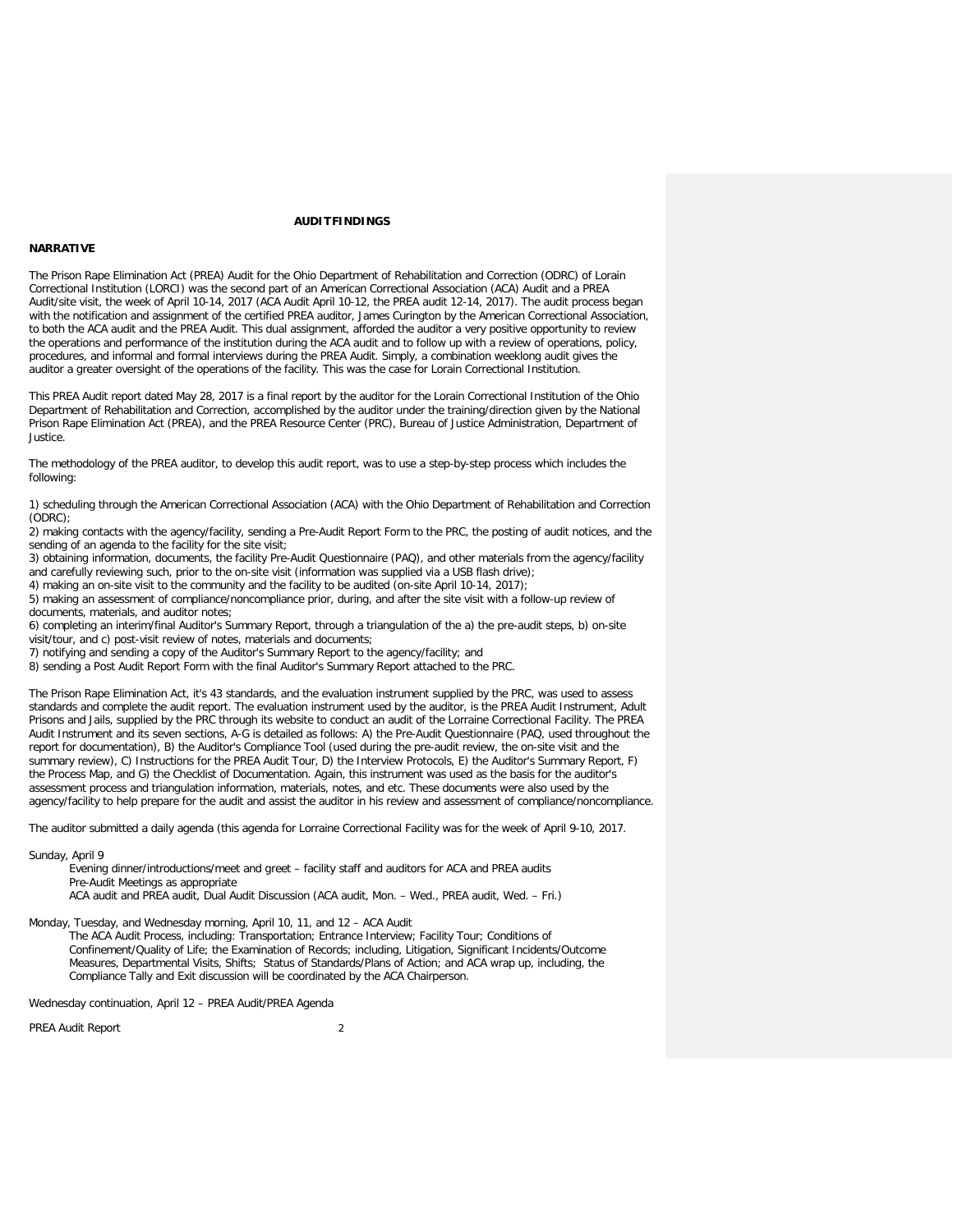### **AUDITFINDINGS**

### **NARRATIVE**

The Prison Rape Elimination Act (PREA) Audit for the Ohio Department of Rehabilitation and Correction (ODRC) of Lorain Correctional Institution (LORCI) was the second part of an American Correctional Association (ACA) Audit and a PREA Audit/site visit, the week of April 10-14, 2017 (ACA Audit April 10-12, the PREA audit 12-14, 2017). The audit process began with the notification and assignment of the certified PREA auditor, James Curington by the American Correctional Association, to both the ACA audit and the PREA Audit. This dual assignment, afforded the auditor a very positive opportunity to review the operations and performance of the institution during the ACA audit and to follow up with a review of operations, policy, procedures, and informal and formal interviews during the PREA Audit. Simply, a combination weeklong audit gives the auditor a greater oversight of the operations of the facility. This was the case for Lorain Correctional Institution.

This PREA Audit report dated May 28, 2017 is a final report by the auditor for the Lorain Correctional Institution of the Ohio Department of Rehabilitation and Correction, accomplished by the auditor under the training/direction given by the National Prison Rape Elimination Act (PREA), and the PREA Resource Center (PRC), Bureau of Justice Administration, Department of Justice.

The methodology of the PREA auditor, to develop this audit report, was to use a step-by-step process which includes the following:

1) scheduling through the American Correctional Association (ACA) with the Ohio Department of Rehabilitation and Correction (ODRC);

2) making contacts with the agency/facility, sending a Pre-Audit Report Form to the PRC, the posting of audit notices, and the sending of an agenda to the facility for the site visit;

3) obtaining information, documents, the facility Pre-Audit Questionnaire (PAQ), and other materials from the agency/facility and carefully reviewing such, prior to the on-site visit (information was supplied via a USB flash drive);

4) making an on-site visit to the community and the facility to be audited (on-site April 10-14, 2017);

5) making an assessment of compliance/noncompliance prior, during, and after the site visit with a follow-up review of documents, materials, and auditor notes;

6) completing an interim/final Auditor's Summary Report, through a triangulation of the a) the pre-audit steps, b) on-site visit/tour, and c) post-visit review of notes, materials and documents;

7) notifying and sending a copy of the Auditor's Summary Report to the agency/facility; and

8) sending a Post Audit Report Form with the final Auditor's Summary Report attached to the PRC.

The Prison Rape Elimination Act, it's 43 standards, and the evaluation instrument supplied by the PRC, was used to assess standards and complete the audit report. The evaluation instrument used by the auditor, is the PREA Audit Instrument, Adult Prisons and Jails, supplied by the PRC through its website to conduct an audit of the Lorraine Correctional Facility. The PREA Audit Instrument and its seven sections, A-G is detailed as follows: A) the Pre-Audit Questionnaire (PAQ, used throughout the report for documentation), B) the Auditor's Compliance Tool (used during the pre-audit review, the on-site visit and the summary review), C) Instructions for the PREA Audit Tour, D) the Interview Protocols, E) the Auditor's Summary Report, F) the Process Map, and G) the Checklist of Documentation. Again, this instrument was used as the basis for the auditor's assessment process and triangulation information, materials, notes, and etc. These documents were also used by the agency/facility to help prepare for the audit and assist the auditor in his review and assessment of compliance/noncompliance.

The auditor submitted a daily agenda (this agenda for Lorraine Correctional Facility was for the week of April 9-10, 2017.

Sunday, April 9

Evening dinner/introductions/meet and greet – facility staff and auditors for ACA and PREA audits Pre-Audit Meetings as appropriate

ACA audit and PREA audit, Dual Audit Discussion (ACA audit, Mon. – Wed., PREA audit, Wed. – Fri.)

Monday, Tuesday, and Wednesday morning, April 10, 11, and 12 – ACA Audit

The ACA Audit Process, including: Transportation; Entrance Interview; Facility Tour; Conditions of Confinement/Quality of Life; the Examination of Records; including, Litigation, Significant Incidents/Outcome Measures, Departmental Visits, Shifts; Status of Standards/Plans of Action; and ACA wrap up, including, the Compliance Tally and Exit discussion will be coordinated by the ACA Chairperson.

Wednesday continuation, April 12 – PREA Audit/PREA Agenda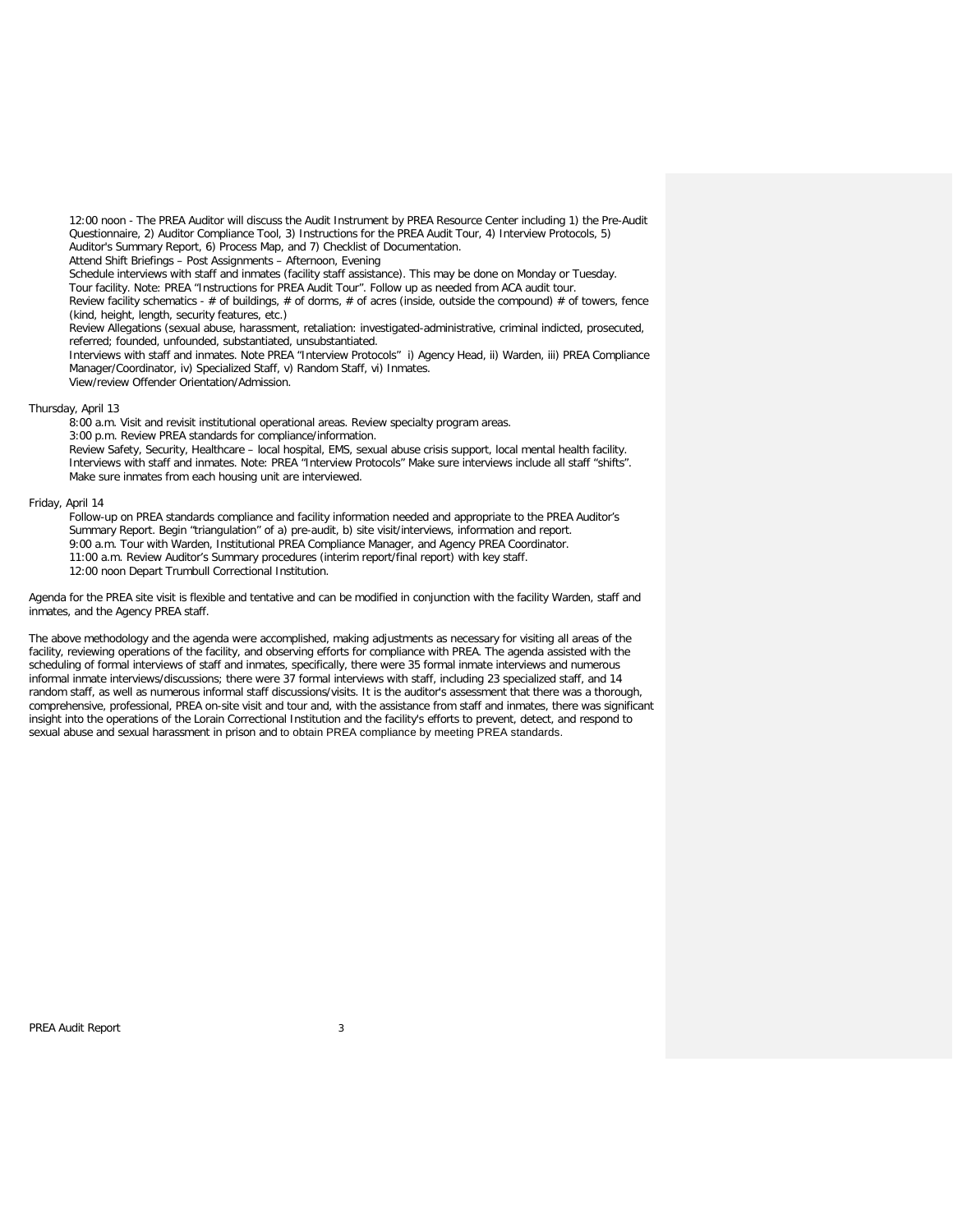12:00 noon - The PREA Auditor will discuss the Audit Instrument by PREA Resource Center including 1) the Pre-Audit Questionnaire, 2) Auditor Compliance Tool, 3) Instructions for the PREA Audit Tour, 4) Interview Protocols, 5) Auditor's Summary Report, 6) Process Map, and 7) Checklist of Documentation.

Attend Shift Briefings – Post Assignments – Afternoon, Evening

Schedule interviews with staff and inmates (facility staff assistance). This may be done on Monday or Tuesday.

Tour facility. Note: PREA "Instructions for PREA Audit Tour". Follow up as needed from ACA audit tour.

Review facility schematics - # of buildings, # of dorms, # of acres (inside, outside the compound) # of towers, fence (kind, height, length, security features, etc.)

Review Allegations (sexual abuse, harassment, retaliation: investigated-administrative, criminal indicted, prosecuted, referred; founded, unfounded, substantiated, unsubstantiated.

Interviews with staff and inmates. Note PREA "Interview Protocols" i) Agency Head, ii) Warden, iii) PREA Compliance Manager/Coordinator, iv) Specialized Staff, v) Random Staff, vi) Inmates. View/review Offender Orientation/Admission.

#### Thursday, April 13

8:00 a.m. Visit and revisit institutional operational areas. Review specialty program areas.

3:00 p.m. Review PREA standards for compliance/information.

Review Safety, Security, Healthcare – local hospital, EMS, sexual abuse crisis support, local mental health facility. Interviews with staff and inmates. Note: PREA "Interview Protocols" Make sure interviews include all staff "shifts". Make sure inmates from each housing unit are interviewed.

### Friday, April 14

Follow-up on PREA standards compliance and facility information needed and appropriate to the PREA Auditor's Summary Report. Begin "triangulation" of a) pre-audit, b) site visit/interviews, information and report. 9:00 a.m. Tour with Warden, Institutional PREA Compliance Manager, and Agency PREA Coordinator. 11:00 a.m. Review Auditor's Summary procedures (interim report/final report) with key staff.

12:00 noon Depart Trumbull Correctional Institution.

Agenda for the PREA site visit is flexible and tentative and can be modified in conjunction with the facility Warden, staff and inmates, and the Agency PREA staff.

The above methodology and the agenda were accomplished, making adjustments as necessary for visiting all areas of the facility, reviewing operations of the facility, and observing efforts for compliance with PREA. The agenda assisted with the scheduling of formal interviews of staff and inmates, specifically, there were 35 formal inmate interviews and numerous informal inmate interviews/discussions; there were 37 formal interviews with staff, including 23 specialized staff, and 14 random staff, as well as numerous informal staff discussions/visits. It is the auditor's assessment that there was a thorough, comprehensive, professional, PREA on-site visit and tour and, with the assistance from staff and inmates, there was significant insight into the operations of the Lorain Correctional Institution and the facility's efforts to prevent, detect, and respond to sexual abuse and sexual harassment in prison and to obtain PREA compliance by meeting PREA standards.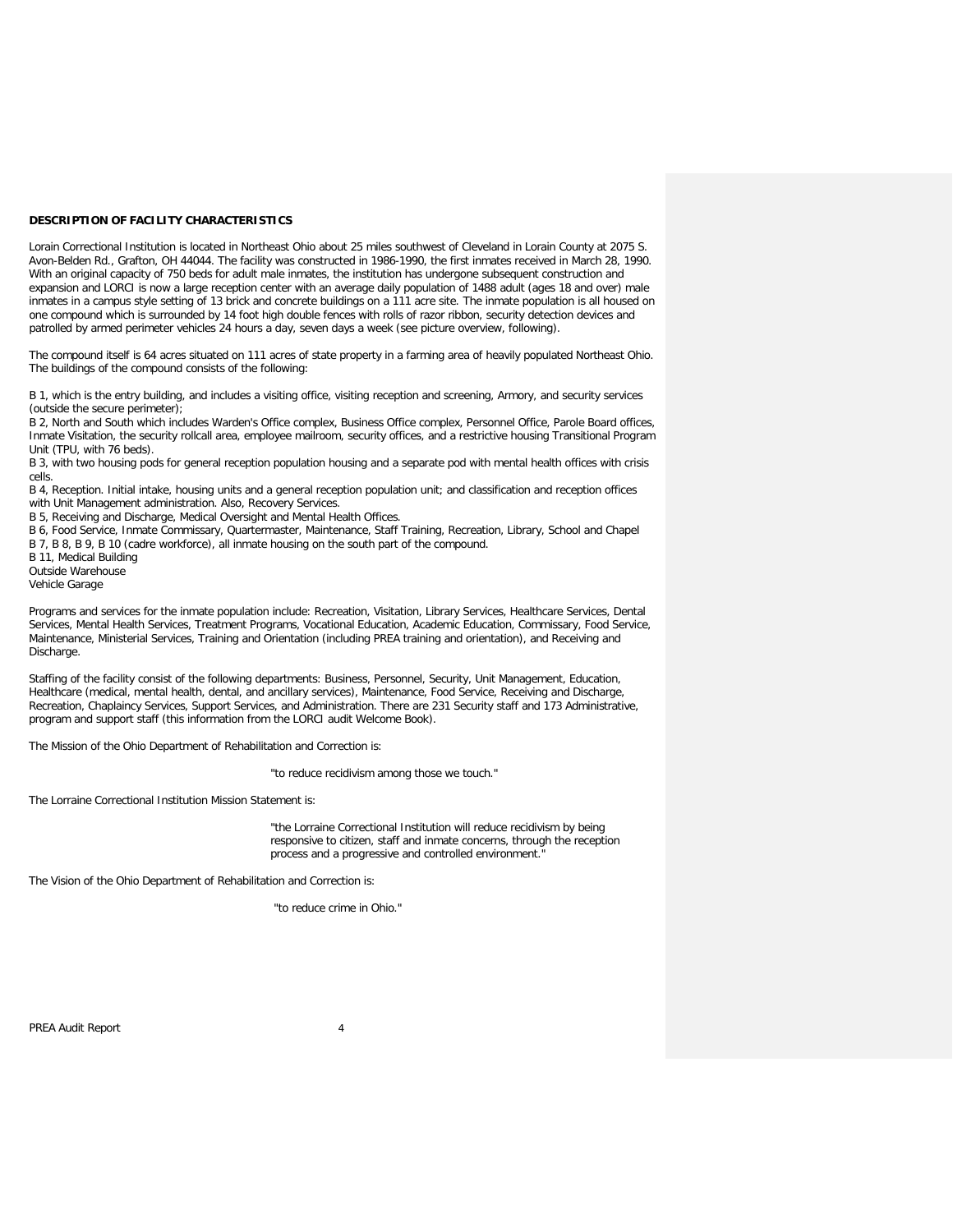### **DESCRIPTION OF FACILITY CHARACTERISTICS**

Lorain Correctional Institution is located in Northeast Ohio about 25 miles southwest of Cleveland in Lorain County at 2075 S. Avon-Belden Rd., Grafton, OH 44044. The facility was constructed in 1986-1990, the first inmates received in March 28, 1990. With an original capacity of 750 beds for adult male inmates, the institution has undergone subsequent construction and expansion and LORCI is now a large reception center with an average daily population of 1488 adult (ages 18 and over) male inmates in a campus style setting of 13 brick and concrete buildings on a 111 acre site. The inmate population is all housed on one compound which is surrounded by 14 foot high double fences with rolls of razor ribbon, security detection devices and patrolled by armed perimeter vehicles 24 hours a day, seven days a week (see picture overview, following).

The compound itself is 64 acres situated on 111 acres of state property in a farming area of heavily populated Northeast Ohio. The buildings of the compound consists of the following:

B 1, which is the entry building, and includes a visiting office, visiting reception and screening, Armory, and security services (outside the secure perimeter);

B 2, North and South which includes Warden's Office complex, Business Office complex, Personnel Office, Parole Board offices, Inmate Visitation, the security rollcall area, employee mailroom, security offices, and a restrictive housing Transitional Program Unit (TPU, with 76 beds).

B 3, with two housing pods for general reception population housing and a separate pod with mental health offices with crisis cells.

B 4, Reception. Initial intake, housing units and a general reception population unit; and classification and reception offices with Unit Management administration. Also, Recovery Services.

B 5, Receiving and Discharge, Medical Oversight and Mental Health Offices.

B 6, Food Service, Inmate Commissary, Quartermaster, Maintenance, Staff Training, Recreation, Library, School and Chapel B 7, B 8, B 9, B 10 (cadre workforce), all inmate housing on the south part of the compound.

B 11, Medical Building

Outside Warehouse

Vehicle Garage

Programs and services for the inmate population include: Recreation, Visitation, Library Services, Healthcare Services, Dental Services, Mental Health Services, Treatment Programs, Vocational Education, Academic Education, Commissary, Food Service, Maintenance, Ministerial Services, Training and Orientation (including PREA training and orientation), and Receiving and Discharge.

Staffing of the facility consist of the following departments: Business, Personnel, Security, Unit Management, Education, Healthcare (medical, mental health, dental, and ancillary services), Maintenance, Food Service, Receiving and Discharge, Recreation, Chaplaincy Services, Support Services, and Administration. There are 231 Security staff and 173 Administrative, program and support staff (this information from the LORCI audit Welcome Book).

The Mission of the Ohio Department of Rehabilitation and Correction is:

"to reduce recidivism among those we touch."

The Lorraine Correctional Institution Mission Statement is:

"the Lorraine Correctional Institution will reduce recidivism by being responsive to citizen, staff and inmate concerns, through the reception process and a progressive and controlled environment."

The Vision of the Ohio Department of Rehabilitation and Correction is:

"to reduce crime in Ohio."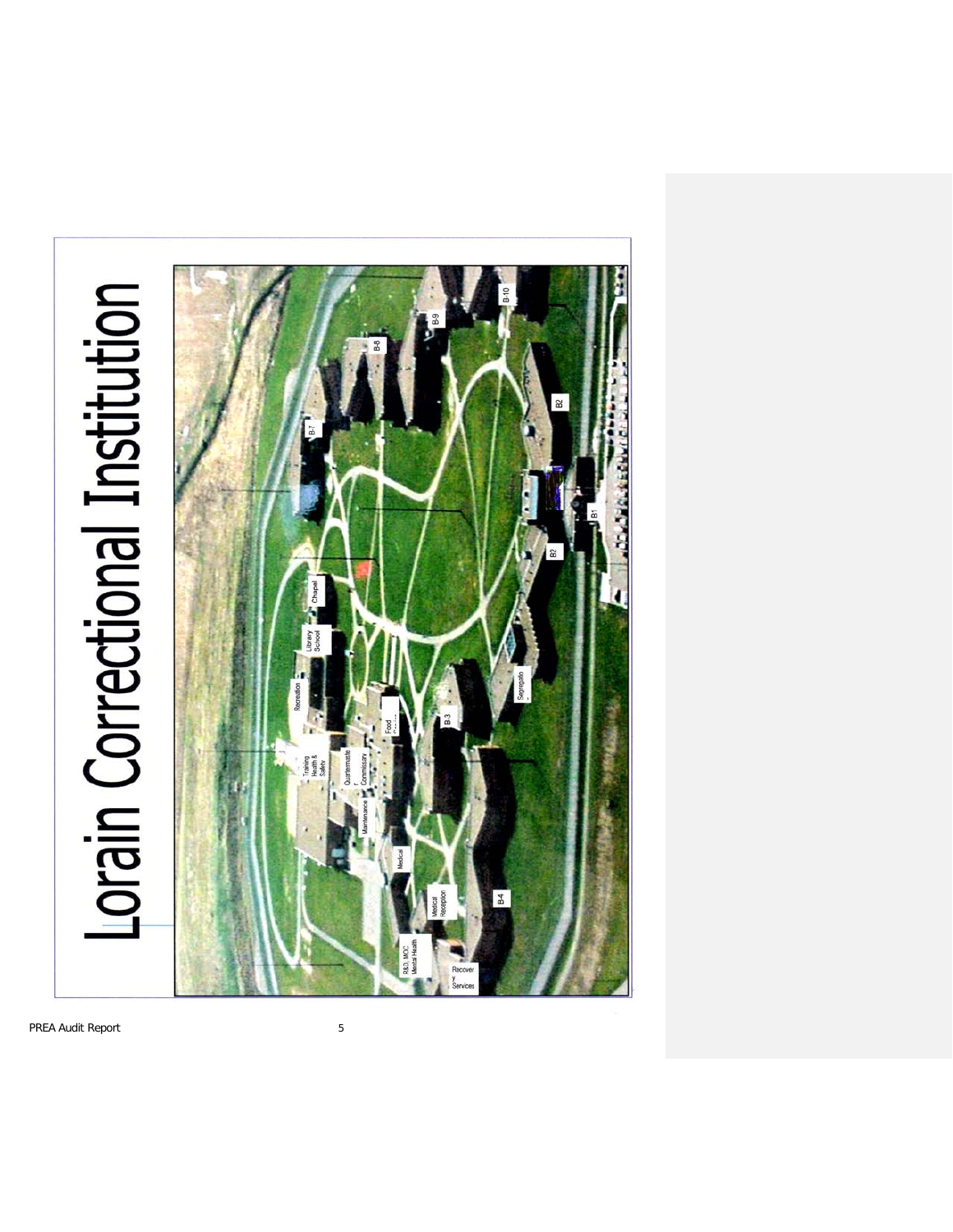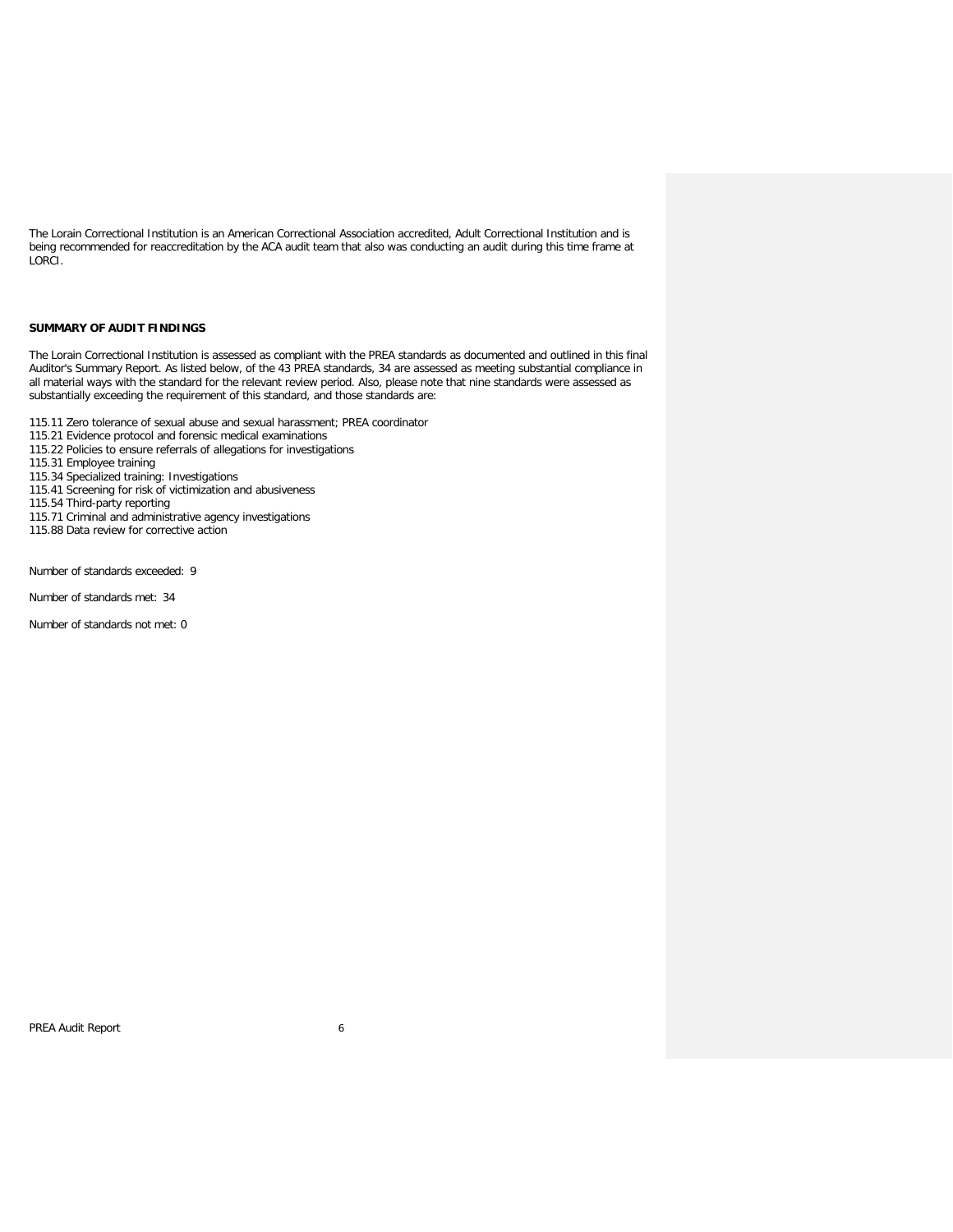The Lorain Correctional Institution is an American Correctional Association accredited, Adult Correctional Institution and is being recommended for reaccreditation by the ACA audit team that also was conducting an audit during this time frame at LORCI.

#### **SUMMARY OF AUDIT FINDINGS**

The Lorain Correctional Institution is assessed as compliant with the PREA standards as documented and outlined in this final Auditor's Summary Report. As listed below, of the 43 PREA standards, 34 are assessed as meeting substantial compliance in all material ways with the standard for the relevant review period. Also, please note that nine standards were assessed as substantially exceeding the requirement of this standard, and those standards are:

115.11 Zero tolerance of sexual abuse and sexual harassment; PREA coordinator

115.21 Evidence protocol and forensic medical examinations

115.22 Policies to ensure referrals of allegations for investigations

115.31 Employee training

115.34 Specialized training: Investigations

115.41 Screening for risk of victimization and abusiveness

115.54 Third-party reporting

115.71 Criminal and administrative agency investigations

115.88 Data review for corrective action

Number of standards exceeded: 9

Number of standards met: 34

Number of standards not met: 0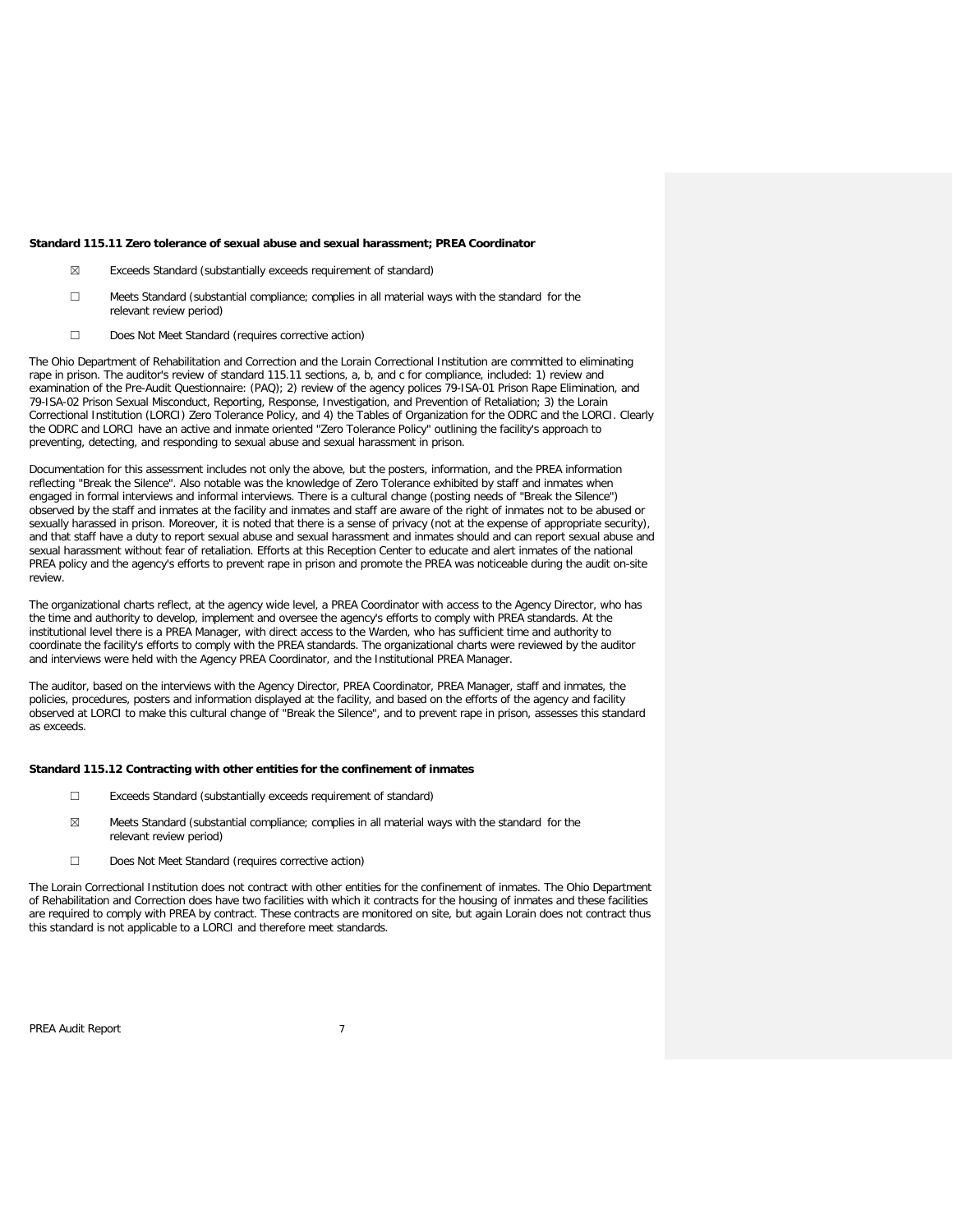#### **Standard 115.11 Zero tolerance of sexual abuse and sexual harassment; PREA Coordinator**

- ☒ Exceeds Standard (substantially exceeds requirement of standard)
- ☐ Meets Standard (substantial compliance; complies in all material ways with the standard for the relevant review period)
- ☐ Does Not Meet Standard (requires corrective action)

The Ohio Department of Rehabilitation and Correction and the Lorain Correctional Institution are committed to eliminating rape in prison. The auditor's review of standard 115.11 sections, a, b, and c for compliance, included: 1) review and examination of the Pre-Audit Questionnaire: (PAQ); 2) review of the agency polices 79-ISA-01 Prison Rape Elimination, and 79-ISA-02 Prison Sexual Misconduct, Reporting, Response, Investigation, and Prevention of Retaliation; 3) the Lorain Correctional Institution (LORCI) Zero Tolerance Policy, and 4) the Tables of Organization for the ODRC and the LORCI. Clearly the ODRC and LORCI have an active and inmate oriented "Zero Tolerance Policy" outlining the facility's approach to preventing, detecting, and responding to sexual abuse and sexual harassment in prison.

Documentation for this assessment includes not only the above, but the posters, information, and the PREA information reflecting "Break the Silence". Also notable was the knowledge of Zero Tolerance exhibited by staff and inmates when engaged in formal interviews and informal interviews. There is a cultural change (posting needs of "Break the Silence") observed by the staff and inmates at the facility and inmates and staff are aware of the right of inmates not to be abused or sexually harassed in prison. Moreover, it is noted that there is a sense of privacy (not at the expense of appropriate security), and that staff have a duty to report sexual abuse and sexual harassment and inmates should and can report sexual abuse and sexual harassment without fear of retaliation. Efforts at this Reception Center to educate and alert inmates of the national PREA policy and the agency's efforts to prevent rape in prison and promote the PREA was noticeable during the audit on-site review.

The organizational charts reflect, at the agency wide level, a PREA Coordinator with access to the Agency Director, who has the time and authority to develop, implement and oversee the agency's efforts to comply with PREA standards. At the institutional level there is a PREA Manager, with direct access to the Warden, who has sufficient time and authority to coordinate the facility's efforts to comply with the PREA standards. The organizational charts were reviewed by the auditor and interviews were held with the Agency PREA Coordinator, and the Institutional PREA Manager.

The auditor, based on the interviews with the Agency Director, PREA Coordinator, PREA Manager, staff and inmates, the policies, procedures, posters and information displayed at the facility, and based on the efforts of the agency and facility observed at LORCI to make this cultural change of "Break the Silence", and to prevent rape in prison, assesses this standard as exceeds.

#### **Standard 115.12 Contracting with other entities for the confinement of inmates**

- ☐ Exceeds Standard (substantially exceeds requirement of standard)
- $\boxtimes$  Meets Standard (substantial compliance; complies in all material ways with the standard for the relevant review period)
- ☐ Does Not Meet Standard (requires corrective action)

The Lorain Correctional Institution does not contract with other entities for the confinement of inmates. The Ohio Department of Rehabilitation and Correction does have two facilities with which it contracts for the housing of inmates and these facilities are required to comply with PREA by contract. These contracts are monitored on site, but again Lorain does not contract thus this standard is not applicable to a LORCI and therefore meet standards.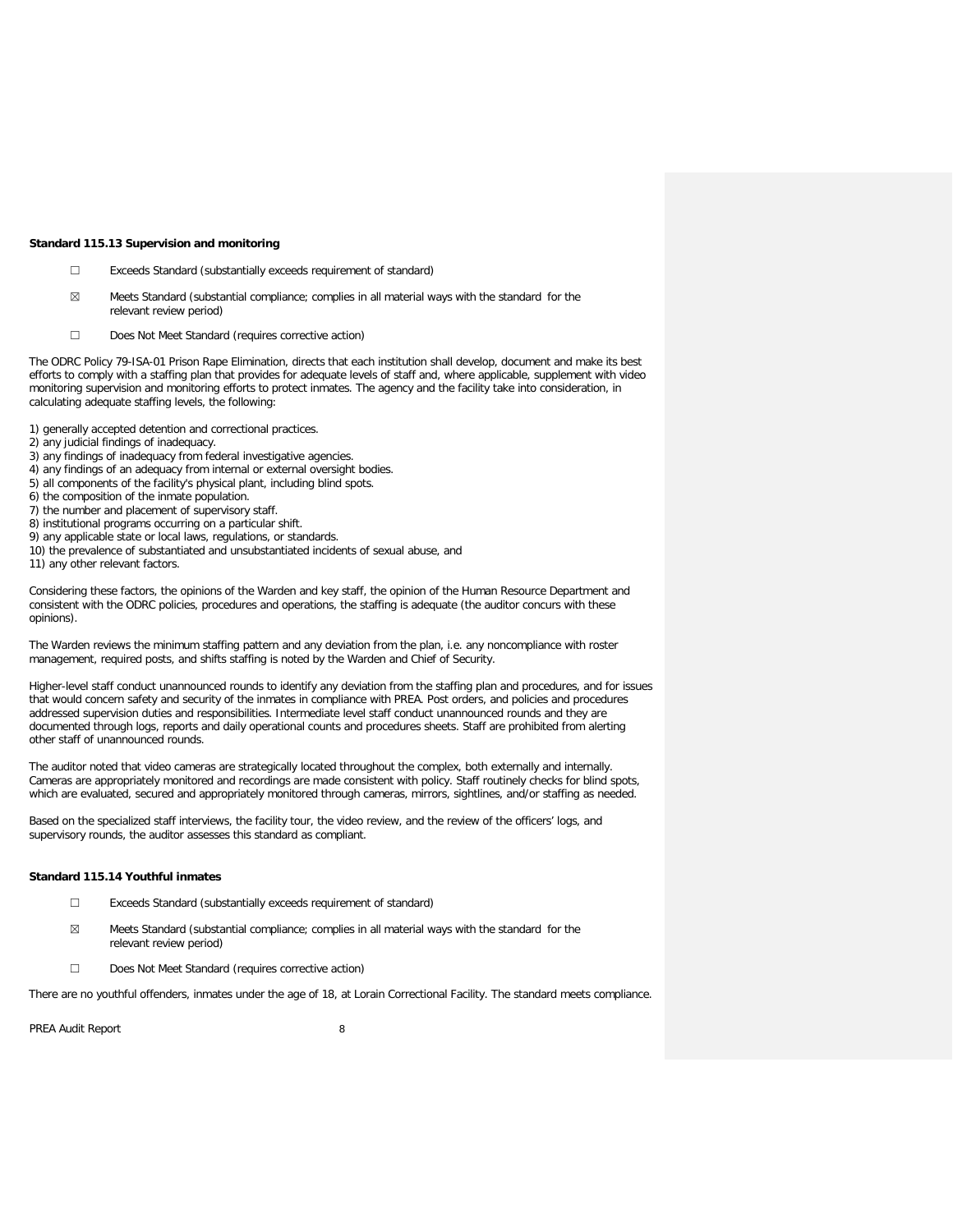#### **Standard 115.13 Supervision and monitoring**

- ☐ Exceeds Standard (substantially exceeds requirement of standard)
- $\boxtimes$  Meets Standard (substantial compliance; complies in all material ways with the standard for the relevant review period)
- ☐ Does Not Meet Standard (requires corrective action)

The ODRC Policy 79-ISA-01 Prison Rape Elimination, directs that each institution shall develop, document and make its best efforts to comply with a staffing plan that provides for adequate levels of staff and, where applicable, supplement with video monitoring supervision and monitoring efforts to protect inmates. The agency and the facility take into consideration, in calculating adequate staffing levels, the following:

1) generally accepted detention and correctional practices.

- 2) any judicial findings of inadequacy.
- 3) any findings of inadequacy from federal investigative agencies.
- 4) any findings of an adequacy from internal or external oversight bodies.
- 5) all components of the facility's physical plant, including blind spots.
- 6) the composition of the inmate population.
- 7) the number and placement of supervisory staff.
- 8) institutional programs occurring on a particular shift.
- 9) any applicable state or local laws, regulations, or standards.
- 10) the prevalence of substantiated and unsubstantiated incidents of sexual abuse, and
- 11) any other relevant factors.

Considering these factors, the opinions of the Warden and key staff, the opinion of the Human Resource Department and consistent with the ODRC policies, procedures and operations, the staffing is adequate (the auditor concurs with these opinions).

The Warden reviews the minimum staffing pattern and any deviation from the plan, i.e. any noncompliance with roster management, required posts, and shifts staffing is noted by the Warden and Chief of Security.

Higher-level staff conduct unannounced rounds to identify any deviation from the staffing plan and procedures, and for issues that would concern safety and security of the inmates in compliance with PREA. Post orders, and policies and procedures addressed supervision duties and responsibilities. Intermediate level staff conduct unannounced rounds and they are documented through logs, reports and daily operational counts and procedures sheets. Staff are prohibited from alerting other staff of unannounced rounds.

The auditor noted that video cameras are strategically located throughout the complex, both externally and internally. Cameras are appropriately monitored and recordings are made consistent with policy. Staff routinely checks for blind spots, which are evaluated, secured and appropriately monitored through cameras, mirrors, sightlines, and/or staffing as needed.

Based on the specialized staff interviews, the facility tour, the video review, and the review of the officers' logs, and supervisory rounds, the auditor assesses this standard as compliant.

### **Standard 115.14 Youthful inmates**

- ☐ Exceeds Standard (substantially exceeds requirement of standard)
- $\boxtimes$  Meets Standard (substantial compliance; complies in all material ways with the standard for the relevant review period)
- ☐ Does Not Meet Standard (requires corrective action)

There are no youthful offenders, inmates under the age of 18, at Lorain Correctional Facility. The standard meets compliance.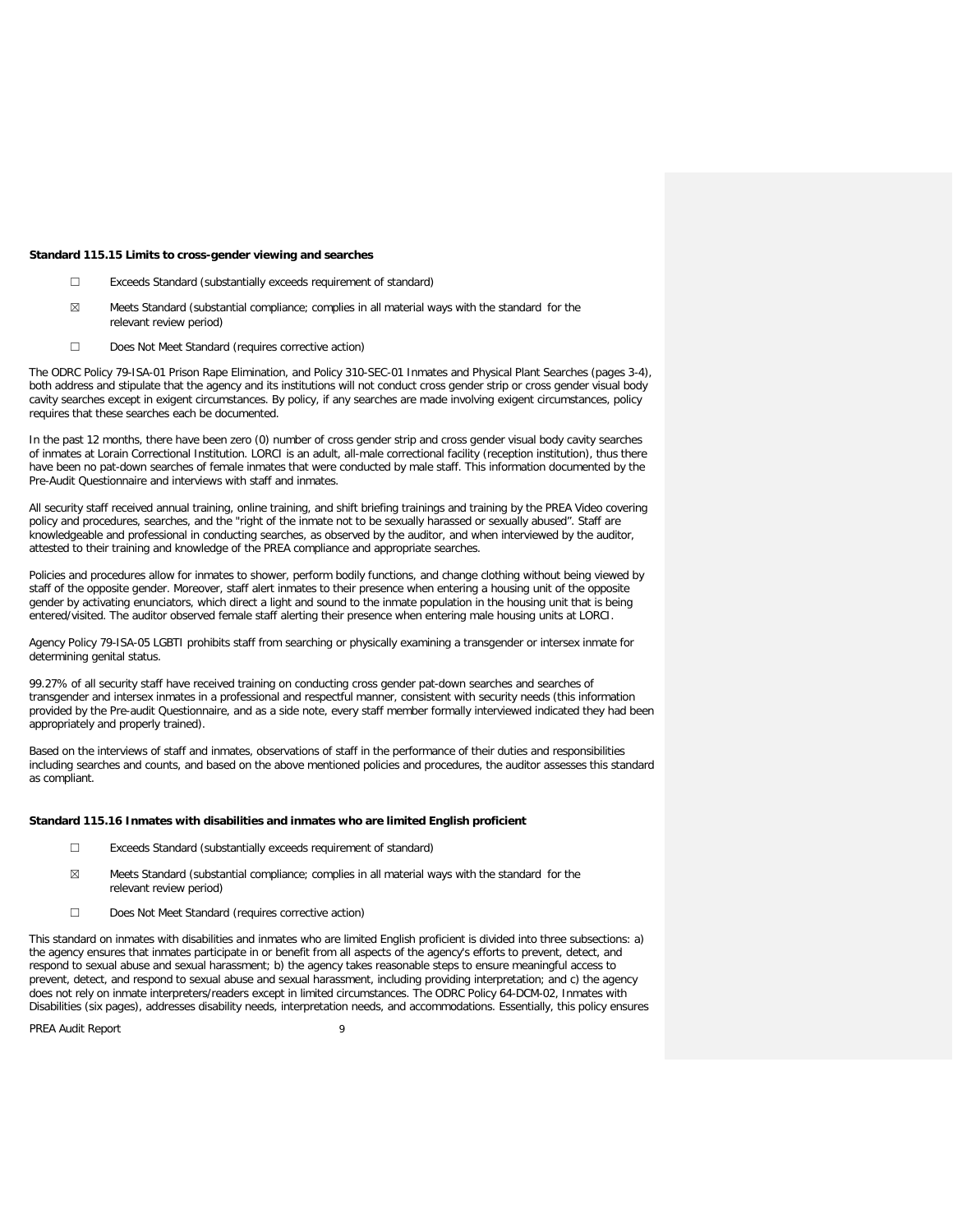#### **Standard 115.15 Limits to cross-gender viewing and searches**

- ☐ Exceeds Standard (substantially exceeds requirement of standard)
- ☒ Meets Standard (substantial compliance; complies in all material ways with the standard for the relevant review period)
- ☐ Does Not Meet Standard (requires corrective action)

The ODRC Policy 79-ISA-01 Prison Rape Elimination, and Policy 310-SEC-01 Inmates and Physical Plant Searches (pages 3-4), both address and stipulate that the agency and its institutions will not conduct cross gender strip or cross gender visual body cavity searches except in exigent circumstances. By policy, if any searches are made involving exigent circumstances, policy requires that these searches each be documented.

In the past 12 months, there have been zero (0) number of cross gender strip and cross gender visual body cavity searches of inmates at Lorain Correctional Institution. LORCI is an adult, all-male correctional facility (reception institution), thus there have been no pat-down searches of female inmates that were conducted by male staff. This information documented by the Pre-Audit Questionnaire and interviews with staff and inmates.

All security staff received annual training, online training, and shift briefing trainings and training by the PREA Video covering policy and procedures, searches, and the "right of the inmate not to be sexually harassed or sexually abused". Staff are knowledgeable and professional in conducting searches, as observed by the auditor, and when interviewed by the auditor, attested to their training and knowledge of the PREA compliance and appropriate searches.

Policies and procedures allow for inmates to shower, perform bodily functions, and change clothing without being viewed by staff of the opposite gender. Moreover, staff alert inmates to their presence when entering a housing unit of the opposite gender by activating enunciators, which direct a light and sound to the inmate population in the housing unit that is being entered/visited. The auditor observed female staff alerting their presence when entering male housing units at LORCI.

Agency Policy 79-ISA-05 LGBTI prohibits staff from searching or physically examining a transgender or intersex inmate for determining genital status.

99.27% of all security staff have received training on conducting cross gender pat-down searches and searches of transgender and intersex inmates in a professional and respectful manner, consistent with security needs (this information provided by the Pre-audit Questionnaire, and as a side note, every staff member formally interviewed indicated they had been appropriately and properly trained).

Based on the interviews of staff and inmates, observations of staff in the performance of their duties and responsibilities including searches and counts, and based on the above mentioned policies and procedures, the auditor assesses this standard as compliant.

### **Standard 115.16 Inmates with disabilities and inmates who are limited English proficient**

- ☐ Exceeds Standard (substantially exceeds requirement of standard)
- ☒ Meets Standard (substantial compliance; complies in all material ways with the standard for the relevant review period)
- ☐ Does Not Meet Standard (requires corrective action)

This standard on inmates with disabilities and inmates who are limited English proficient is divided into three subsections: a) the agency ensures that inmates participate in or benefit from all aspects of the agency's efforts to prevent, detect, and respond to sexual abuse and sexual harassment; b) the agency takes reasonable steps to ensure meaningful access to prevent, detect, and respond to sexual abuse and sexual harassment, including providing interpretation; and c) the agency does not rely on inmate interpreters/readers except in limited circumstances. The ODRC Policy 64-DCM-02, Inmates with Disabilities (six pages), addresses disability needs, interpretation needs, and accommodations. Essentially, this policy ensures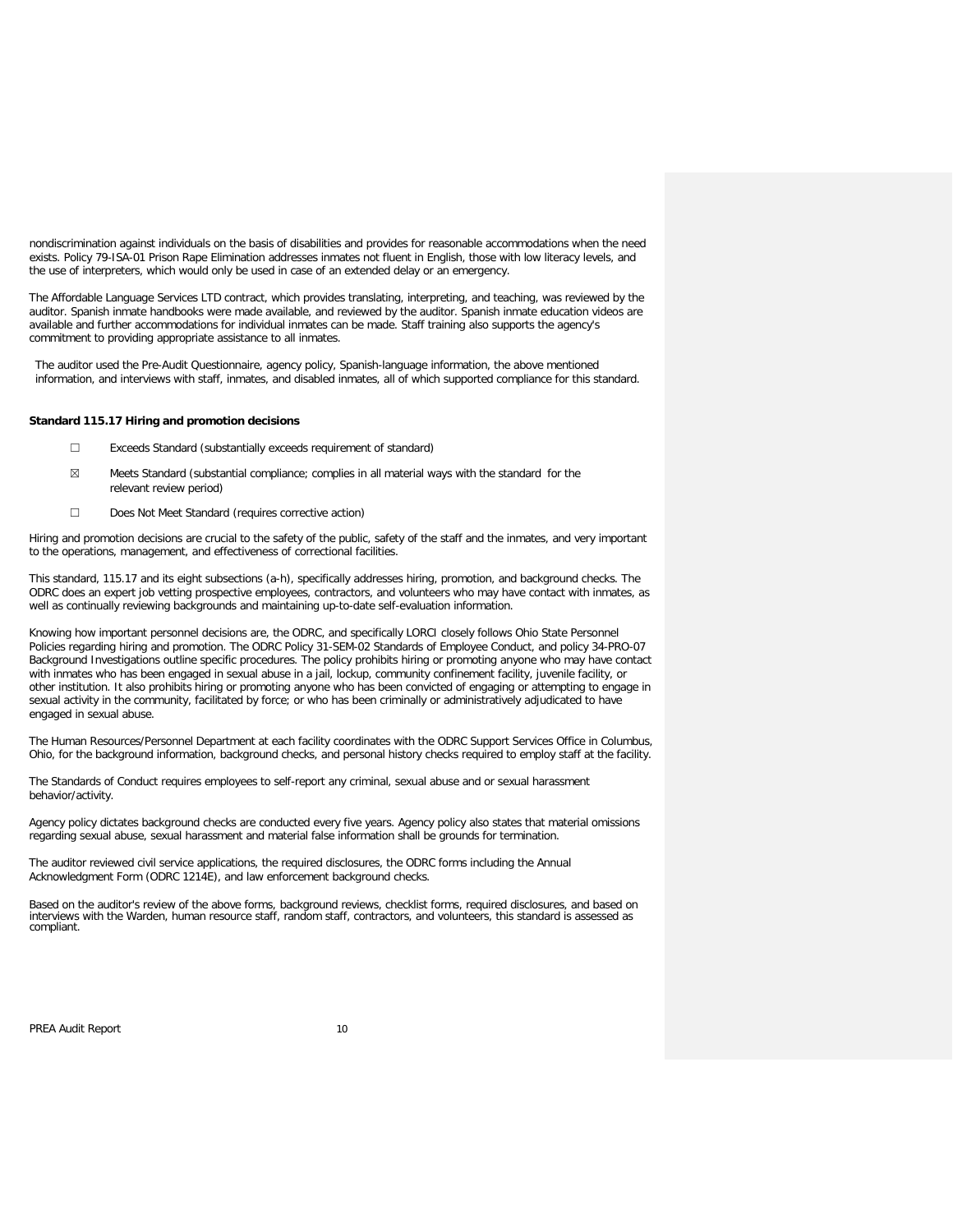nondiscrimination against individuals on the basis of disabilities and provides for reasonable accommodations when the need exists. Policy 79-ISA-01 Prison Rape Elimination addresses inmates not fluent in English, those with low literacy levels, and the use of interpreters, which would only be used in case of an extended delay or an emergency.

The Affordable Language Services LTD contract, which provides translating, interpreting, and teaching, was reviewed by the auditor. Spanish inmate handbooks were made available, and reviewed by the auditor. Spanish inmate education videos are available and further accommodations for individual inmates can be made. Staff training also supports the agency's commitment to providing appropriate assistance to all inmates.

The auditor used the Pre-Audit Questionnaire, agency policy, Spanish-language information, the above mentioned information, and interviews with staff, inmates, and disabled inmates, all of which supported compliance for this standard.

### **Standard 115.17 Hiring and promotion decisions**

- ☐ Exceeds Standard (substantially exceeds requirement of standard)
- $\boxtimes$  Meets Standard (substantial compliance; complies in all material ways with the standard for the relevant review period)
- ☐ Does Not Meet Standard (requires corrective action)

Hiring and promotion decisions are crucial to the safety of the public, safety of the staff and the inmates, and very important to the operations, management, and effectiveness of correctional facilities.

This standard, 115.17 and its eight subsections (a-h), specifically addresses hiring, promotion, and background checks. The ODRC does an expert job vetting prospective employees, contractors, and volunteers who may have contact with inmates, as well as continually reviewing backgrounds and maintaining up-to-date self-evaluation information.

Knowing how important personnel decisions are, the ODRC, and specifically LORCI closely follows Ohio State Personnel Policies regarding hiring and promotion. The ODRC Policy 31-SEM-02 Standards of Employee Conduct, and policy 34-PRO-07 Background Investigations outline specific procedures. The policy prohibits hiring or promoting anyone who may have contact with inmates who has been engaged in sexual abuse in a jail, lockup, community confinement facility, juvenile facility, or other institution. It also prohibits hiring or promoting anyone who has been convicted of engaging or attempting to engage in sexual activity in the community, facilitated by force; or who has been criminally or administratively adjudicated to have engaged in sexual abuse.

The Human Resources/Personnel Department at each facility coordinates with the ODRC Support Services Office in Columbus, Ohio, for the background information, background checks, and personal history checks required to employ staff at the facility.

The Standards of Conduct requires employees to self-report any criminal, sexual abuse and or sexual harassment behavior/activity.

Agency policy dictates background checks are conducted every five years. Agency policy also states that material omissions regarding sexual abuse, sexual harassment and material false information shall be grounds for termination.

The auditor reviewed civil service applications, the required disclosures, the ODRC forms including the Annual Acknowledgment Form (ODRC 1214E), and law enforcement background checks.

Based on the auditor's review of the above forms, background reviews, checklist forms, required disclosures, and based on interviews with the Warden, human resource staff, random staff, contractors, and volunteers, this standard is assessed as compliant.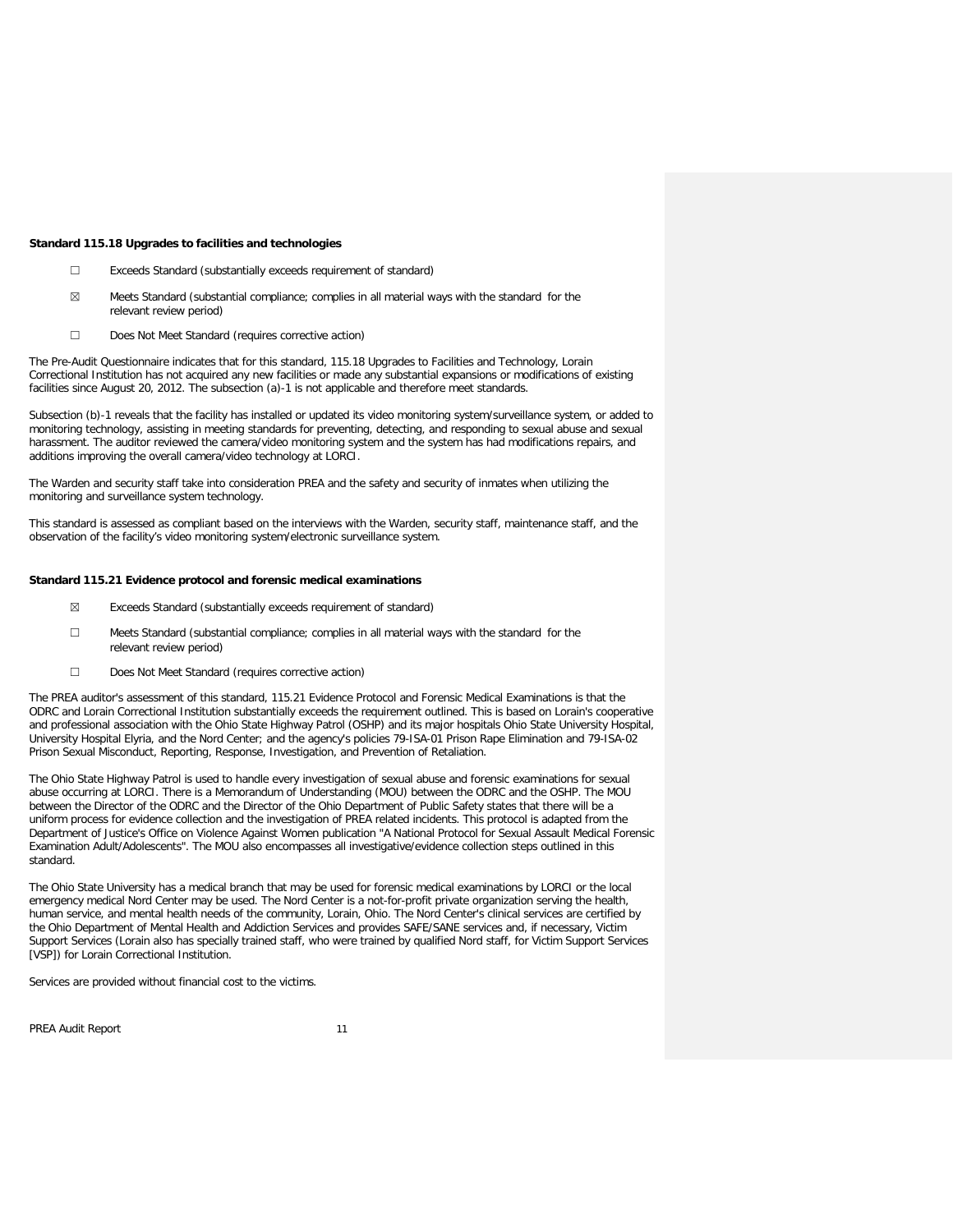#### **Standard 115.18 Upgrades to facilities and technologies**

- ☐ Exceeds Standard (substantially exceeds requirement of standard)
- $\boxtimes$  Meets Standard (substantial compliance; complies in all material ways with the standard for the relevant review period)
- ☐ Does Not Meet Standard (requires corrective action)

The Pre-Audit Questionnaire indicates that for this standard, 115.18 Upgrades to Facilities and Technology, Lorain Correctional Institution has not acquired any new facilities or made any substantial expansions or modifications of existing facilities since August 20, 2012. The subsection (a)-1 is not applicable and therefore meet standards.

Subsection (b)-1 reveals that the facility has installed or updated its video monitoring system/surveillance system, or added to monitoring technology, assisting in meeting standards for preventing, detecting, and responding to sexual abuse and sexual harassment. The auditor reviewed the camera/video monitoring system and the system has had modifications repairs, and additions improving the overall camera/video technology at LORCI.

The Warden and security staff take into consideration PREA and the safety and security of inmates when utilizing the monitoring and surveillance system technology.

This standard is assessed as compliant based on the interviews with the Warden, security staff, maintenance staff, and the observation of the facility's video monitoring system/electronic surveillance system.

#### **Standard 115.21 Evidence protocol and forensic medical examinations**

- ☒ Exceeds Standard (substantially exceeds requirement of standard)
- ☐ Meets Standard (substantial compliance; complies in all material ways with the standard for the relevant review period)
- ☐ Does Not Meet Standard (requires corrective action)

The PREA auditor's assessment of this standard, 115.21 Evidence Protocol and Forensic Medical Examinations is that the ODRC and Lorain Correctional Institution substantially exceeds the requirement outlined. This is based on Lorain's cooperative and professional association with the Ohio State Highway Patrol (OSHP) and its major hospitals Ohio State University Hospital, University Hospital Elyria, and the Nord Center; and the agency's policies 79-ISA-01 Prison Rape Elimination and 79-ISA-02 Prison Sexual Misconduct, Reporting, Response, Investigation, and Prevention of Retaliation.

The Ohio State Highway Patrol is used to handle every investigation of sexual abuse and forensic examinations for sexual abuse occurring at LORCI. There is a Memorandum of Understanding (MOU) between the ODRC and the OSHP. The MOU between the Director of the ODRC and the Director of the Ohio Department of Public Safety states that there will be a uniform process for evidence collection and the investigation of PREA related incidents. This protocol is adapted from the Department of Justice's Office on Violence Against Women publication "A National Protocol for Sexual Assault Medical Forensic Examination Adult/Adolescents". The MOU also encompasses all investigative/evidence collection steps outlined in this standard.

The Ohio State University has a medical branch that may be used for forensic medical examinations by LORCI or the local emergency medical Nord Center may be used. The Nord Center is a not-for-profit private organization serving the health, human service, and mental health needs of the community, Lorain, Ohio. The Nord Center's clinical services are certified by the Ohio Department of Mental Health and Addiction Services and provides SAFE/SANE services and, if necessary, Victim Support Services (Lorain also has specially trained staff, who were trained by qualified Nord staff, for Victim Support Services [VSP]) for Lorain Correctional Institution.

Services are provided without financial cost to the victims.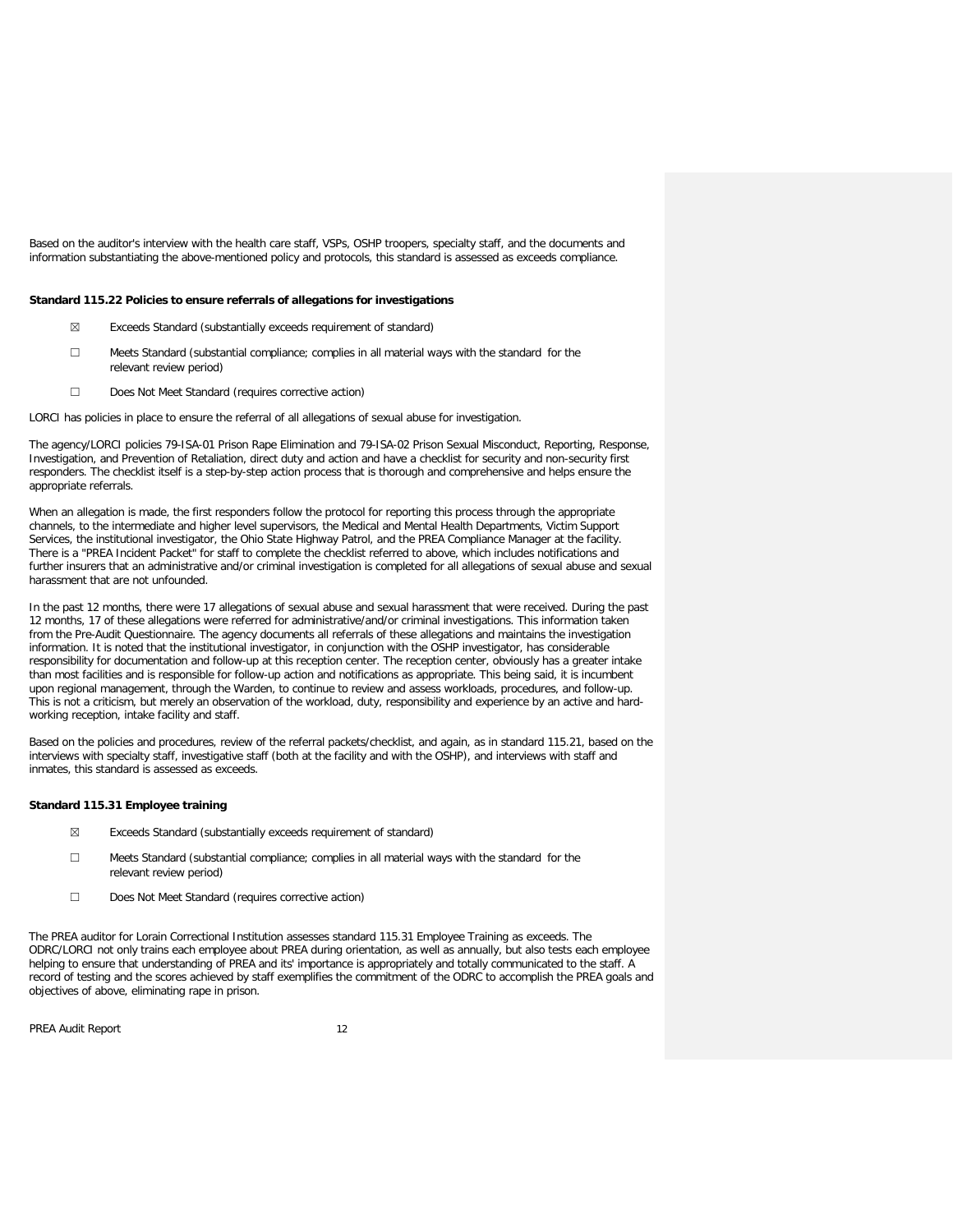Based on the auditor's interview with the health care staff, VSPs, OSHP troopers, specialty staff, and the documents and information substantiating the above-mentioned policy and protocols, this standard is assessed as exceeds compliance.

### **Standard 115.22 Policies to ensure referrals of allegations for investigations**

- ☒ Exceeds Standard (substantially exceeds requirement of standard)
- ☐ Meets Standard (substantial compliance; complies in all material ways with the standard for the relevant review period)
- ☐ Does Not Meet Standard (requires corrective action)

LORCI has policies in place to ensure the referral of all allegations of sexual abuse for investigation.

The agency/LORCI policies 79-ISA-01 Prison Rape Elimination and 79-ISA-02 Prison Sexual Misconduct, Reporting, Response, Investigation, and Prevention of Retaliation, direct duty and action and have a checklist for security and non-security first responders. The checklist itself is a step-by-step action process that is thorough and comprehensive and helps ensure the appropriate referrals.

When an allegation is made, the first responders follow the protocol for reporting this process through the appropriate channels, to the intermediate and higher level supervisors, the Medical and Mental Health Departments, Victim Support Services, the institutional investigator, the Ohio State Highway Patrol, and the PREA Compliance Manager at the facility. There is a "PREA Incident Packet" for staff to complete the checklist referred to above, which includes notifications and further insurers that an administrative and/or criminal investigation is completed for all allegations of sexual abuse and sexual harassment that are not unfounded.

In the past 12 months, there were 17 allegations of sexual abuse and sexual harassment that were received. During the past 12 months, 17 of these allegations were referred for administrative/and/or criminal investigations. This information taken from the Pre-Audit Questionnaire. The agency documents all referrals of these allegations and maintains the investigation information. It is noted that the institutional investigator, in conjunction with the OSHP investigator, has considerable responsibility for documentation and follow-up at this reception center. The reception center, obviously has a greater intake than most facilities and is responsible for follow-up action and notifications as appropriate. This being said, it is incumbent upon regional management, through the Warden, to continue to review and assess workloads, procedures, and follow-up. This is not a criticism, but merely an observation of the workload, duty, responsibility and experience by an active and hardworking reception, intake facility and staff.

Based on the policies and procedures, review of the referral packets/checklist, and again, as in standard 115.21, based on the interviews with specialty staff, investigative staff (both at the facility and with the OSHP), and interviews with staff and inmates, this standard is assessed as exceeds.

### **Standard 115.31 Employee training**

- ☒ Exceeds Standard (substantially exceeds requirement of standard)
- ☐ Meets Standard (substantial compliance; complies in all material ways with the standard for the relevant review period)
- ☐ Does Not Meet Standard (requires corrective action)

The PREA auditor for Lorain Correctional Institution assesses standard 115.31 Employee Training as exceeds. The ODRC/LORCI not only trains each employee about PREA during orientation, as well as annually, but also tests each employee helping to ensure that understanding of PREA and its' importance is appropriately and totally communicated to the staff. A record of testing and the scores achieved by staff exemplifies the commitment of the ODRC to accomplish the PREA goals and objectives of above, eliminating rape in prison.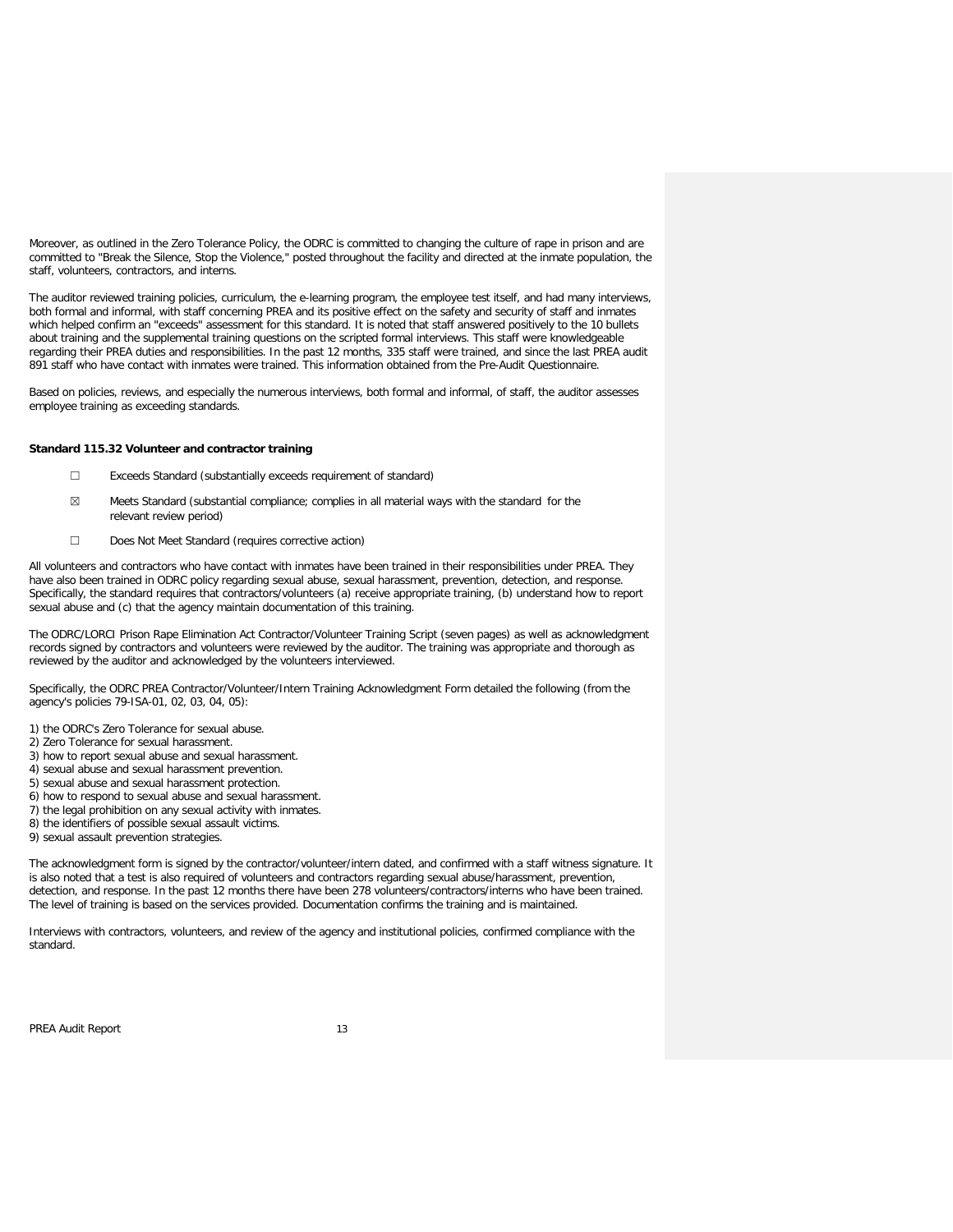Moreover, as outlined in the Zero Tolerance Policy, the ODRC is committed to changing the culture of rape in prison and are committed to "Break the Silence, Stop the Violence," posted throughout the facility and directed at the inmate population, the staff, volunteers, contractors, and interns.

The auditor reviewed training policies, curriculum, the e-learning program, the employee test itself, and had many interviews, both formal and informal, with staff concerning PREA and its positive effect on the safety and security of staff and inmates which helped confirm an "exceeds" assessment for this standard. It is noted that staff answered positively to the 10 bullets about training and the supplemental training questions on the scripted formal interviews. This staff were knowledgeable regarding their PREA duties and responsibilities. In the past 12 months, 335 staff were trained, and since the last PREA audit 891 staff who have contact with inmates were trained. This information obtained from the Pre-Audit Questionnaire.

Based on policies, reviews, and especially the numerous interviews, both formal and informal, of staff, the auditor assesses employee training as exceeding standards.

#### **Standard 115.32 Volunteer and contractor training**

- ☐ Exceeds Standard (substantially exceeds requirement of standard)
- $\boxtimes$  Meets Standard (substantial compliance; complies in all material ways with the standard for the relevant review period)
- ☐ Does Not Meet Standard (requires corrective action)

All volunteers and contractors who have contact with inmates have been trained in their responsibilities under PREA. They have also been trained in ODRC policy regarding sexual abuse, sexual harassment, prevention, detection, and response. Specifically, the standard requires that contractors/volunteers (a) receive appropriate training, (b) understand how to report sexual abuse and (c) that the agency maintain documentation of this training.

The ODRC/LORCI Prison Rape Elimination Act Contractor/Volunteer Training Script (seven pages) as well as acknowledgment records signed by contractors and volunteers were reviewed by the auditor. The training was appropriate and thorough as reviewed by the auditor and acknowledged by the volunteers interviewed.

Specifically, the ODRC PREA Contractor/Volunteer/Intern Training Acknowledgment Form detailed the following (from the agency's policies 79-ISA-01, 02, 03, 04, 05):

- 1) the ODRC's Zero Tolerance for sexual abuse.
- 2) Zero Tolerance for sexual harassment.
- 3) how to report sexual abuse and sexual harassment.
- 4) sexual abuse and sexual harassment prevention.
- 5) sexual abuse and sexual harassment protection.
- 6) how to respond to sexual abuse and sexual harassment.
- 7) the legal prohibition on any sexual activity with inmates.
- 8) the identifiers of possible sexual assault victims.
- 9) sexual assault prevention strategies.

The acknowledgment form is signed by the contractor/volunteer/intern dated, and confirmed with a staff witness signature. It is also noted that a test is also required of volunteers and contractors regarding sexual abuse/harassment, prevention, detection, and response. In the past 12 months there have been 278 volunteers/contractors/interns who have been trained. The level of training is based on the services provided. Documentation confirms the training and is maintained.

Interviews with contractors, volunteers, and review of the agency and institutional policies, confirmed compliance with the standard.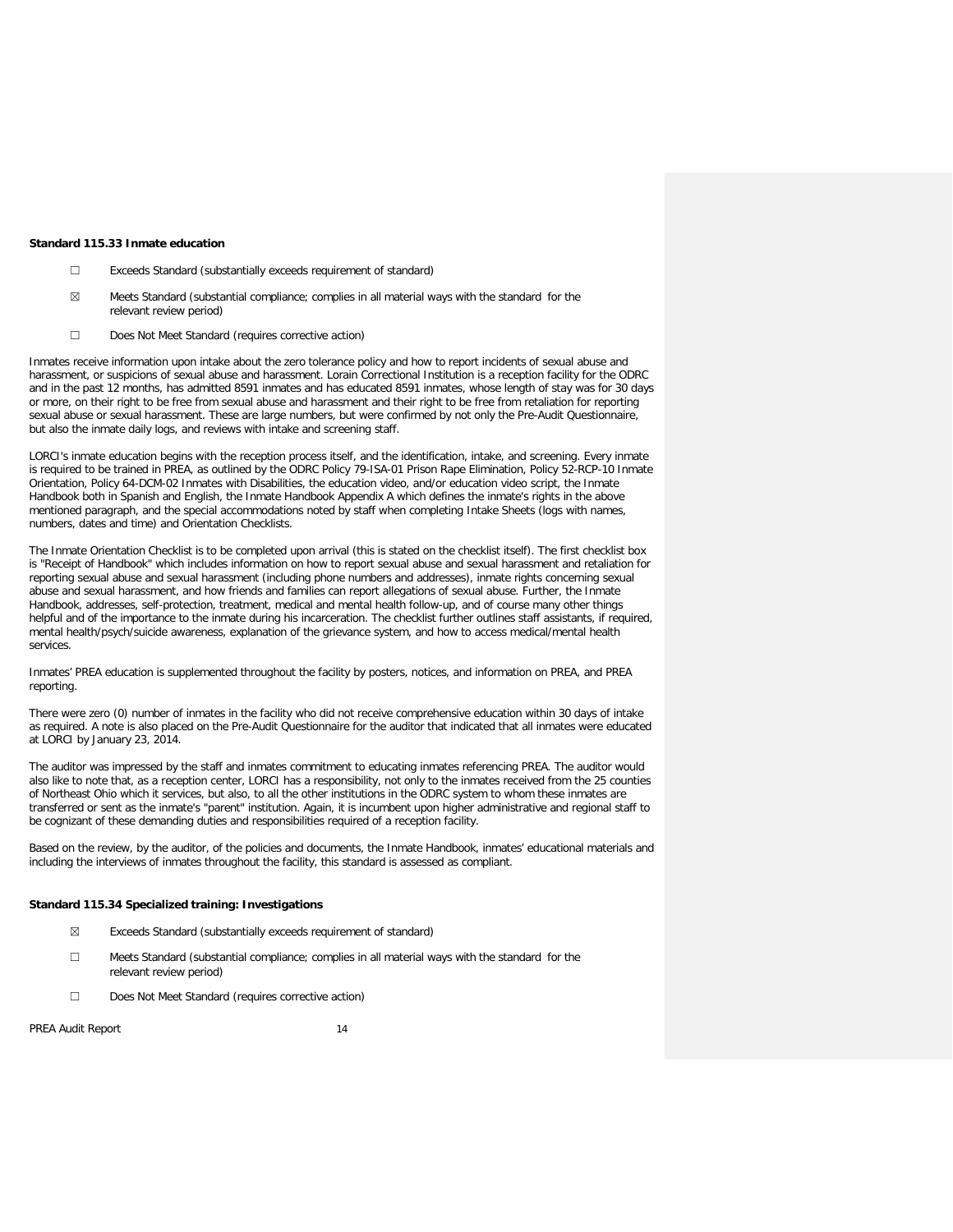#### **Standard 115.33 Inmate education**

- ☐ Exceeds Standard (substantially exceeds requirement of standard)
- $\boxtimes$  Meets Standard (substantial compliance; complies in all material ways with the standard for the relevant review period)
- ☐ Does Not Meet Standard (requires corrective action)

Inmates receive information upon intake about the zero tolerance policy and how to report incidents of sexual abuse and harassment, or suspicions of sexual abuse and harassment. Lorain Correctional Institution is a reception facility for the ODRC and in the past 12 months, has admitted 8591 inmates and has educated 8591 inmates, whose length of stay was for 30 days or more, on their right to be free from sexual abuse and harassment and their right to be free from retaliation for reporting sexual abuse or sexual harassment. These are large numbers, but were confirmed by not only the Pre-Audit Questionnaire, but also the inmate daily logs, and reviews with intake and screening staff.

LORCI's inmate education begins with the reception process itself, and the identification, intake, and screening. Every inmate is required to be trained in PREA, as outlined by the ODRC Policy 79-ISA-01 Prison Rape Elimination, Policy 52-RCP-10 Inmate Orientation, Policy 64-DCM-02 Inmates with Disabilities, the education video, and/or education video script, the Inmate Handbook both in Spanish and English, the Inmate Handbook Appendix A which defines the inmate's rights in the above mentioned paragraph, and the special accommodations noted by staff when completing Intake Sheets (logs with names, numbers, dates and time) and Orientation Checklists.

The Inmate Orientation Checklist is to be completed upon arrival (this is stated on the checklist itself). The first checklist box is "Receipt of Handbook" which includes information on how to report sexual abuse and sexual harassment and retaliation for reporting sexual abuse and sexual harassment (including phone numbers and addresses), inmate rights concerning sexual abuse and sexual harassment, and how friends and families can report allegations of sexual abuse. Further, the Inmate Handbook, addresses, self-protection, treatment, medical and mental health follow-up, and of course many other things helpful and of the importance to the inmate during his incarceration. The checklist further outlines staff assistants, if required, mental health/psych/suicide awareness, explanation of the grievance system, and how to access medical/mental health services.

Inmates' PREA education is supplemented throughout the facility by posters, notices, and information on PREA, and PREA reporting.

There were zero (0) number of inmates in the facility who did not receive comprehensive education within 30 days of intake as required. A note is also placed on the Pre-Audit Questionnaire for the auditor that indicated that all inmates were educated at LORCI by January 23, 2014.

The auditor was impressed by the staff and inmates commitment to educating inmates referencing PREA. The auditor would also like to note that, as a reception center, LORCI has a responsibility, not only to the inmates received from the 25 counties of Northeast Ohio which it services, but also, to all the other institutions in the ODRC system to whom these inmates are transferred or sent as the inmate's "parent" institution. Again, it is incumbent upon higher administrative and regional staff to be cognizant of these demanding duties and responsibilities required of a reception facility.

Based on the review, by the auditor, of the policies and documents, the Inmate Handbook, inmates' educational materials and including the interviews of inmates throughout the facility, this standard is assessed as compliant.

#### **Standard 115.34 Specialized training: Investigations**

- ☒ Exceeds Standard (substantially exceeds requirement of standard)
- ☐ Meets Standard (substantial compliance; complies in all material ways with the standard for the relevant review period)
- ☐ Does Not Meet Standard (requires corrective action)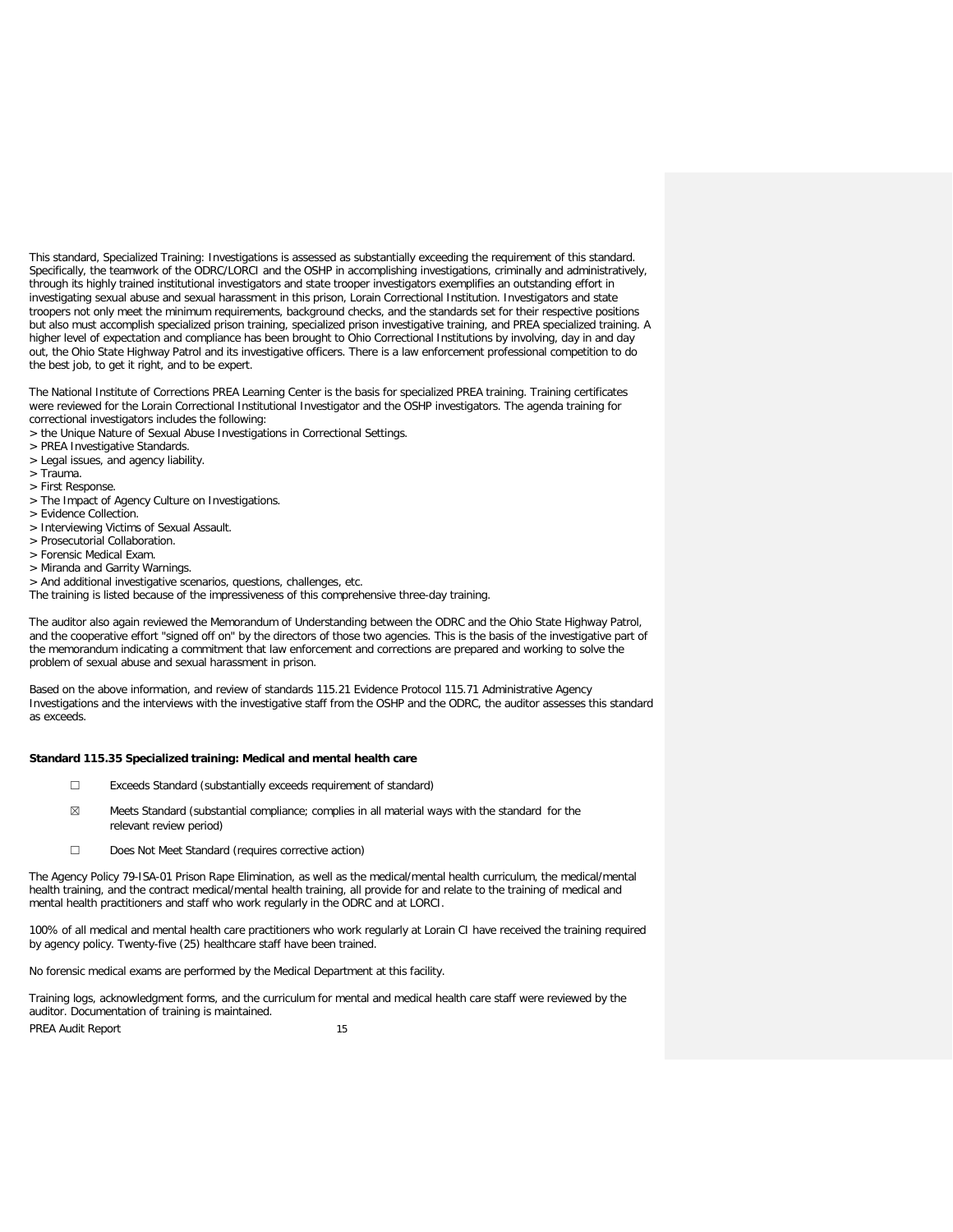This standard, Specialized Training: Investigations is assessed as substantially exceeding the requirement of this standard. Specifically, the teamwork of the ODRC/LORCI and the OSHP in accomplishing investigations, criminally and administratively, through its highly trained institutional investigators and state trooper investigators exemplifies an outstanding effort in investigating sexual abuse and sexual harassment in this prison, Lorain Correctional Institution. Investigators and state troopers not only meet the minimum requirements, background checks, and the standards set for their respective positions but also must accomplish specialized prison training, specialized prison investigative training, and PREA specialized training. A higher level of expectation and compliance has been brought to Ohio Correctional Institutions by involving, day in and day out, the Ohio State Highway Patrol and its investigative officers. There is a law enforcement professional competition to do the best job, to get it right, and to be expert.

The National Institute of Corrections PREA Learning Center is the basis for specialized PREA training. Training certificates were reviewed for the Lorain Correctional Institutional Investigator and the OSHP investigators. The agenda training for correctional investigators includes the following:

- > the Unique Nature of Sexual Abuse Investigations in Correctional Settings.
- > PREA Investigative Standards.
- > Legal issues, and agency liability.
- > Trauma.
- > First Response.
- > The Impact of Agency Culture on Investigations.
- > Evidence Collection.
- > Interviewing Victims of Sexual Assault.
- > Prosecutorial Collaboration.
- > Forensic Medical Exam.
- > Miranda and Garrity Warnings.
- > And additional investigative scenarios, questions, challenges, etc.

The training is listed because of the impressiveness of this comprehensive three-day training.

The auditor also again reviewed the Memorandum of Understanding between the ODRC and the Ohio State Highway Patrol, and the cooperative effort "signed off on" by the directors of those two agencies. This is the basis of the investigative part of the memorandum indicating a commitment that law enforcement and corrections are prepared and working to solve the problem of sexual abuse and sexual harassment in prison.

Based on the above information, and review of standards 115.21 Evidence Protocol 115.71 Administrative Agency Investigations and the interviews with the investigative staff from the OSHP and the ODRC, the auditor assesses this standard as exceeds.

#### **Standard 115.35 Specialized training: Medical and mental health care**

- ☐ Exceeds Standard (substantially exceeds requirement of standard)
- ☒ Meets Standard (substantial compliance; complies in all material ways with the standard for the relevant review period)
- ☐ Does Not Meet Standard (requires corrective action)

The Agency Policy 79-ISA-01 Prison Rape Elimination, as well as the medical/mental health curriculum, the medical/mental health training, and the contract medical/mental health training, all provide for and relate to the training of medical and mental health practitioners and staff who work regularly in the ODRC and at LORCI.

100% of all medical and mental health care practitioners who work regularly at Lorain CI have received the training required by agency policy. Twenty-five (25) healthcare staff have been trained.

No forensic medical exams are performed by the Medical Department at this facility.

Training logs, acknowledgment forms, and the curriculum for mental and medical health care staff were reviewed by the auditor. Documentation of training is maintained.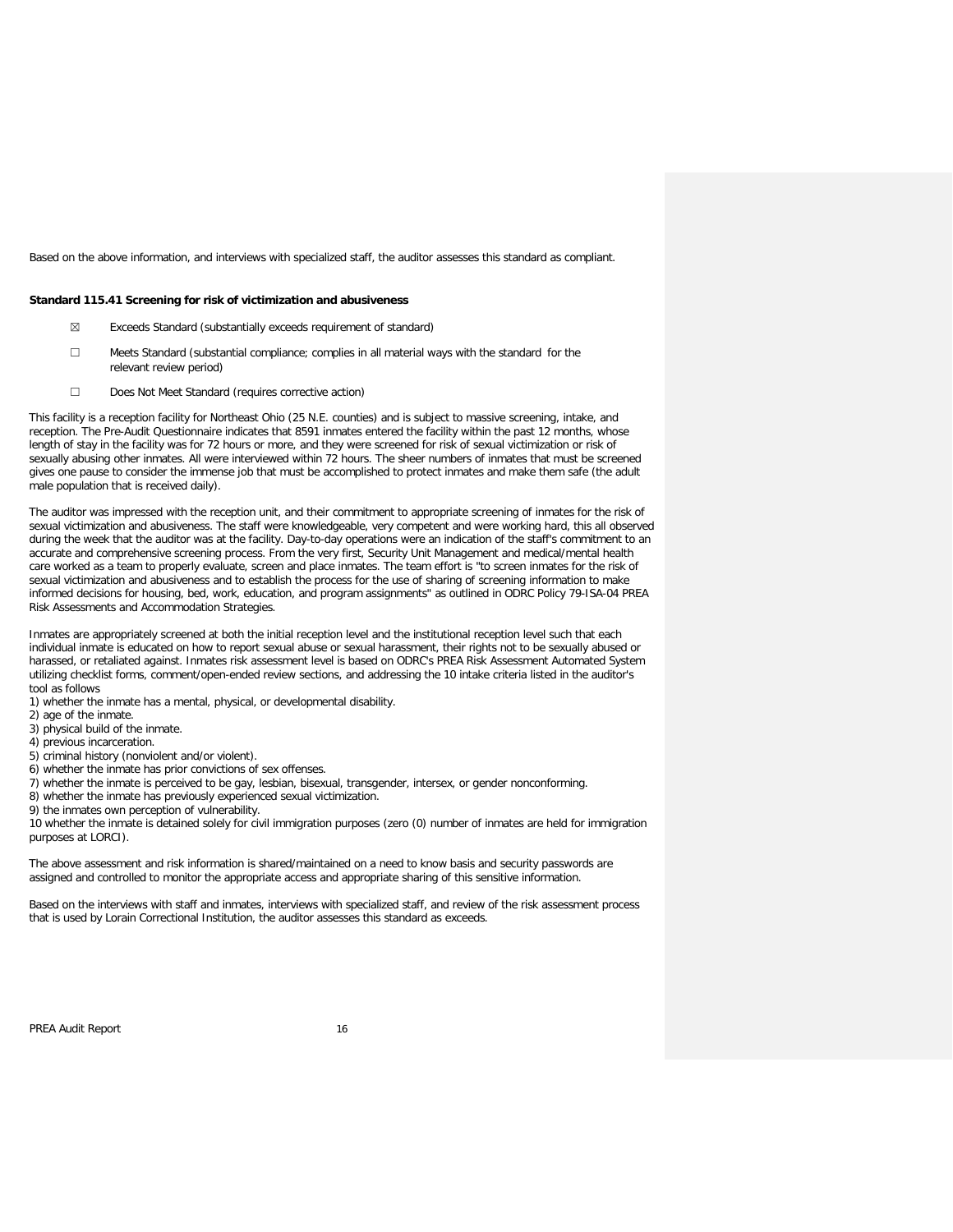Based on the above information, and interviews with specialized staff, the auditor assesses this standard as compliant.

#### **Standard 115.41 Screening for risk of victimization and abusiveness**

- ☒ Exceeds Standard (substantially exceeds requirement of standard)
- ☐ Meets Standard (substantial compliance; complies in all material ways with the standard for the relevant review period)
- ☐ Does Not Meet Standard (requires corrective action)

This facility is a reception facility for Northeast Ohio (25 N.E. counties) and is subject to massive screening, intake, and reception. The Pre-Audit Questionnaire indicates that 8591 inmates entered the facility within the past 12 months, whose length of stay in the facility was for 72 hours or more, and they were screened for risk of sexual victimization or risk of sexually abusing other inmates. All were interviewed within 72 hours. The sheer numbers of inmates that must be screened gives one pause to consider the immense job that must be accomplished to protect inmates and make them safe (the adult male population that is received daily).

The auditor was impressed with the reception unit, and their commitment to appropriate screening of inmates for the risk of sexual victimization and abusiveness. The staff were knowledgeable, very competent and were working hard, this all observed during the week that the auditor was at the facility. Day-to-day operations were an indication of the staff's commitment to an accurate and comprehensive screening process. From the very first, Security Unit Management and medical/mental health care worked as a team to properly evaluate, screen and place inmates. The team effort is "to screen inmates for the risk of sexual victimization and abusiveness and to establish the process for the use of sharing of screening information to make informed decisions for housing, bed, work, education, and program assignments" as outlined in ODRC Policy 79-ISA-04 PREA Risk Assessments and Accommodation Strategies.

Inmates are appropriately screened at both the initial reception level and the institutional reception level such that each individual inmate is educated on how to report sexual abuse or sexual harassment, their rights not to be sexually abused or harassed, or retaliated against. Inmates risk assessment level is based on ODRC's PREA Risk Assessment Automated System utilizing checklist forms, comment/open-ended review sections, and addressing the 10 intake criteria listed in the auditor's tool as follows

- 1) whether the inmate has a mental, physical, or developmental disability.
- 2) age of the inmate.
- 3) physical build of the inmate.
- 4) previous incarceration.
- 5) criminal history (nonviolent and/or violent).
- 6) whether the inmate has prior convictions of sex offenses.
- 7) whether the inmate is perceived to be gay, lesbian, bisexual, transgender, intersex, or gender nonconforming.
- 8) whether the inmate has previously experienced sexual victimization.
- 9) the inmates own perception of vulnerability.

10 whether the inmate is detained solely for civil immigration purposes (zero (0) number of inmates are held for immigration purposes at LORCI).

The above assessment and risk information is shared/maintained on a need to know basis and security passwords are assigned and controlled to monitor the appropriate access and appropriate sharing of this sensitive information.

Based on the interviews with staff and inmates, interviews with specialized staff, and review of the risk assessment process that is used by Lorain Correctional Institution, the auditor assesses this standard as exceeds.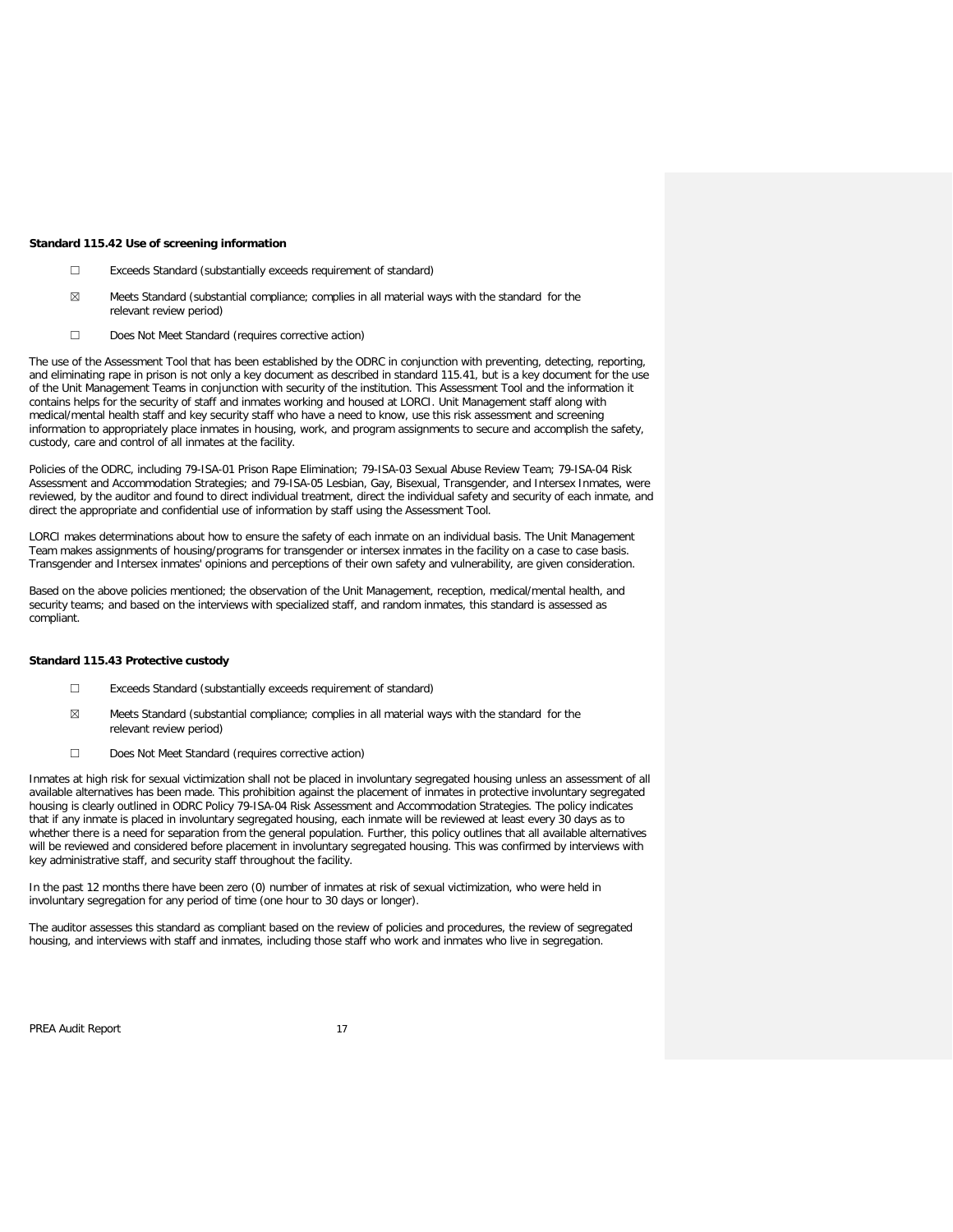#### **Standard 115.42 Use of screening information**

- ☐ Exceeds Standard (substantially exceeds requirement of standard)
- $\boxtimes$  Meets Standard (substantial compliance; complies in all material ways with the standard for the relevant review period)
- ☐ Does Not Meet Standard (requires corrective action)

The use of the Assessment Tool that has been established by the ODRC in conjunction with preventing, detecting, reporting, and eliminating rape in prison is not only a key document as described in standard 115.41, but is a key document for the use of the Unit Management Teams in conjunction with security of the institution. This Assessment Tool and the information it contains helps for the security of staff and inmates working and housed at LORCI. Unit Management staff along with medical/mental health staff and key security staff who have a need to know, use this risk assessment and screening information to appropriately place inmates in housing, work, and program assignments to secure and accomplish the safety, custody, care and control of all inmates at the facility.

Policies of the ODRC, including 79-ISA-01 Prison Rape Elimination; 79-ISA-03 Sexual Abuse Review Team; 79-ISA-04 Risk Assessment and Accommodation Strategies; and 79-ISA-05 Lesbian, Gay, Bisexual, Transgender, and Intersex Inmates, were reviewed, by the auditor and found to direct individual treatment, direct the individual safety and security of each inmate, and direct the appropriate and confidential use of information by staff using the Assessment Tool.

LORCI makes determinations about how to ensure the safety of each inmate on an individual basis. The Unit Management Team makes assignments of housing/programs for transgender or intersex inmates in the facility on a case to case basis. Transgender and Intersex inmates' opinions and perceptions of their own safety and vulnerability, are given consideration.

Based on the above policies mentioned; the observation of the Unit Management, reception, medical/mental health, and security teams; and based on the interviews with specialized staff, and random inmates, this standard is assessed as compliant.

### **Standard 115.43 Protective custody**

- ☐ Exceeds Standard (substantially exceeds requirement of standard)
- $\boxtimes$  Meets Standard (substantial compliance; complies in all material ways with the standard for the relevant review period)
- ☐ Does Not Meet Standard (requires corrective action)

Inmates at high risk for sexual victimization shall not be placed in involuntary segregated housing unless an assessment of all available alternatives has been made. This prohibition against the placement of inmates in protective involuntary segregated housing is clearly outlined in ODRC Policy 79-ISA-04 Risk Assessment and Accommodation Strategies. The policy indicates that if any inmate is placed in involuntary segregated housing, each inmate will be reviewed at least every 30 days as to whether there is a need for separation from the general population. Further, this policy outlines that all available alternatives will be reviewed and considered before placement in involuntary segregated housing. This was confirmed by interviews with key administrative staff, and security staff throughout the facility.

In the past 12 months there have been zero (0) number of inmates at risk of sexual victimization, who were held in involuntary segregation for any period of time (one hour to 30 days or longer).

The auditor assesses this standard as compliant based on the review of policies and procedures, the review of segregated housing, and interviews with staff and inmates, including those staff who work and inmates who live in segregation.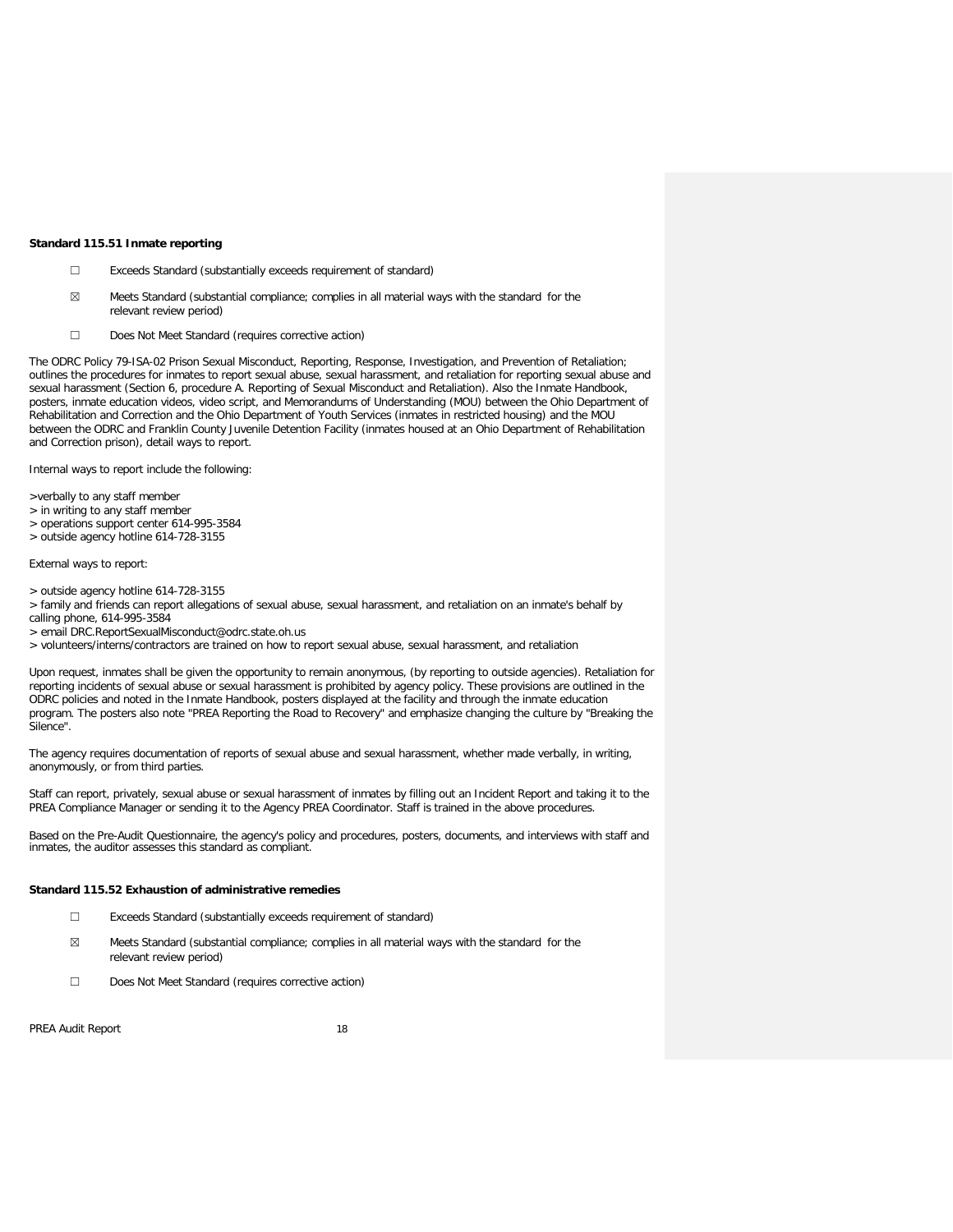#### **Standard 115.51 Inmate reporting**

- ☐ Exceeds Standard (substantially exceeds requirement of standard)
- ☒ Meets Standard (substantial compliance; complies in all material ways with the standard for the relevant review period)
- ☐ Does Not Meet Standard (requires corrective action)

The ODRC Policy 79-ISA-02 Prison Sexual Misconduct, Reporting, Response, Investigation, and Prevention of Retaliation; outlines the procedures for inmates to report sexual abuse, sexual harassment, and retaliation for reporting sexual abuse and sexual harassment (Section 6, procedure A. Reporting of Sexual Misconduct and Retaliation). Also the Inmate Handbook, posters, inmate education videos, video script, and Memorandums of Understanding (MOU) between the Ohio Department of Rehabilitation and Correction and the Ohio Department of Youth Services (inmates in restricted housing) and the MOU between the ODRC and Franklin County Juvenile Detention Facility (inmates housed at an Ohio Department of Rehabilitation and Correction prison), detail ways to report.

Internal ways to report include the following:

>verbally to any staff member

- > in writing to any staff member
- > operations support center 614-995-3584
- > outside agency hotline 614-728-3155

External ways to report:

- > outside agency hotline 614-728-3155
- > family and friends can report allegations of sexual abuse, sexual harassment, and retaliation on an inmate's behalf by calling phone, 614-995-3584
- > email DRC.ReportSexualMisconduct@odrc.state.oh.us
- > volunteers/interns/contractors are trained on how to report sexual abuse, sexual harassment, and retaliation

Upon request, inmates shall be given the opportunity to remain anonymous, (by reporting to outside agencies). Retaliation for reporting incidents of sexual abuse or sexual harassment is prohibited by agency policy. These provisions are outlined in the ODRC policies and noted in the Inmate Handbook, posters displayed at the facility and through the inmate education program. The posters also note "PREA Reporting the Road to Recovery" and emphasize changing the culture by "Breaking the Silence".

The agency requires documentation of reports of sexual abuse and sexual harassment, whether made verbally, in writing, anonymously, or from third parties.

Staff can report, privately, sexual abuse or sexual harassment of inmates by filling out an Incident Report and taking it to the PREA Compliance Manager or sending it to the Agency PREA Coordinator. Staff is trained in the above procedures.

Based on the Pre-Audit Questionnaire, the agency's policy and procedures, posters, documents, and interviews with staff and inmates, the auditor assesses this standard as compliant.

### **Standard 115.52 Exhaustion of administrative remedies**

- ☐ Exceeds Standard (substantially exceeds requirement of standard)
- ☒ Meets Standard (substantial compliance; complies in all material ways with the standard for the relevant review period)
- ☐ Does Not Meet Standard (requires corrective action)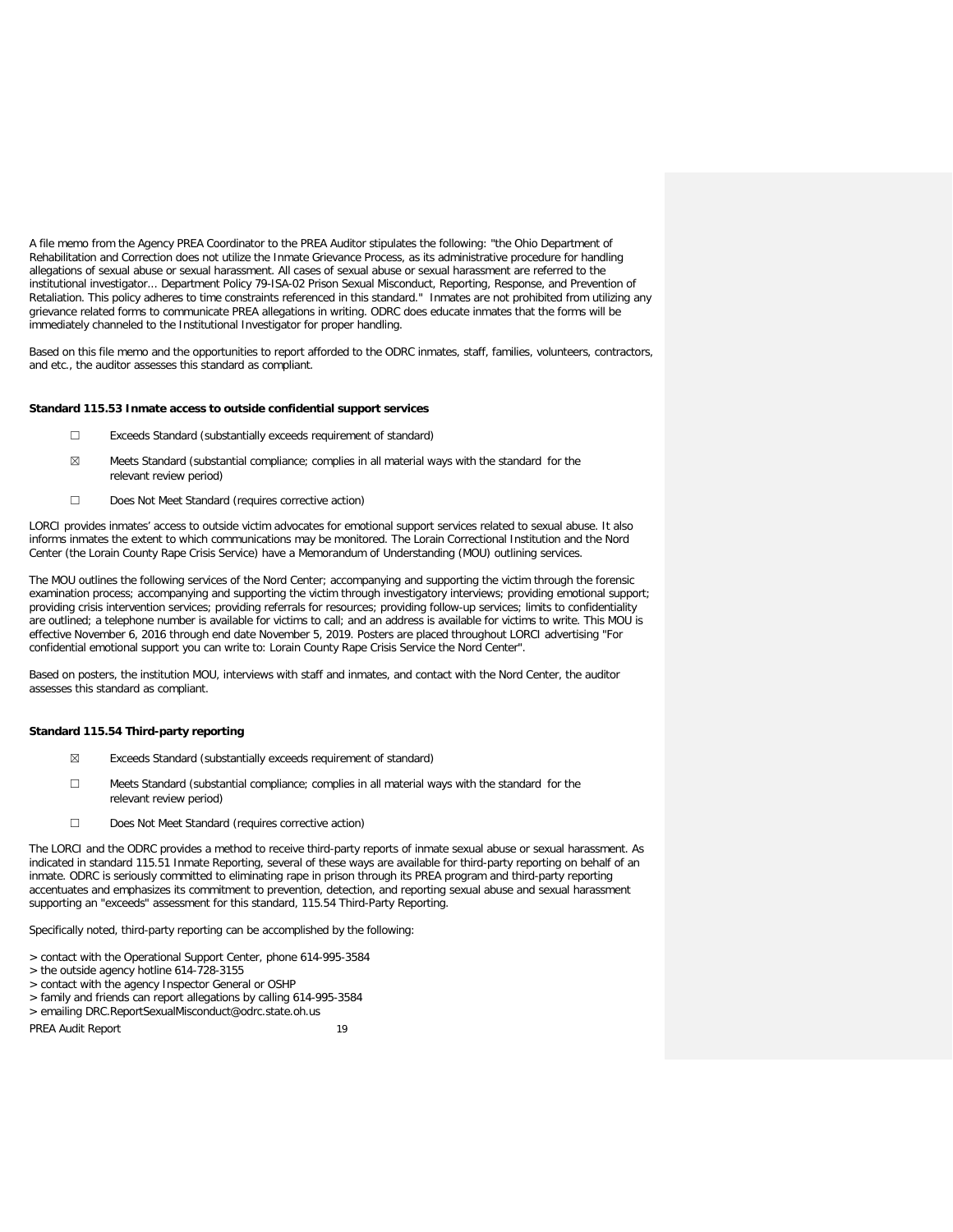A file memo from the Agency PREA Coordinator to the PREA Auditor stipulates the following: "the Ohio Department of Rehabilitation and Correction does not utilize the Inmate Grievance Process, as its administrative procedure for handling allegations of sexual abuse or sexual harassment. All cases of sexual abuse or sexual harassment are referred to the institutional investigator... Department Policy 79-ISA-02 Prison Sexual Misconduct, Reporting, Response, and Prevention of Retaliation. This policy adheres to time constraints referenced in this standard." Inmates are not prohibited from utilizing any grievance related forms to communicate PREA allegations in writing. ODRC does educate inmates that the forms will be immediately channeled to the Institutional Investigator for proper handling.

Based on this file memo and the opportunities to report afforded to the ODRC inmates, staff, families, volunteers, contractors, and etc., the auditor assesses this standard as compliant.

### **Standard 115.53 Inmate access to outside confidential support services**

- ☐ Exceeds Standard (substantially exceeds requirement of standard)
- $\boxtimes$  Meets Standard (substantial compliance; complies in all material ways with the standard for the relevant review period)
- ☐ Does Not Meet Standard (requires corrective action)

LORCI provides inmates' access to outside victim advocates for emotional support services related to sexual abuse. It also informs inmates the extent to which communications may be monitored. The Lorain Correctional Institution and the Nord Center (the Lorain County Rape Crisis Service) have a Memorandum of Understanding (MOU) outlining services.

The MOU outlines the following services of the Nord Center; accompanying and supporting the victim through the forensic examination process; accompanying and supporting the victim through investigatory interviews; providing emotional support; providing crisis intervention services; providing referrals for resources; providing follow-up services; limits to confidentiality are outlined; a telephone number is available for victims to call; and an address is available for victims to write. This MOU is effective November 6, 2016 through end date November 5, 2019. Posters are placed throughout LORCI advertising "For confidential emotional support you can write to: Lorain County Rape Crisis Service the Nord Center".

Based on posters, the institution MOU, interviews with staff and inmates, and contact with the Nord Center, the auditor assesses this standard as compliant.

### **Standard 115.54 Third-party reporting**

- ☒ Exceeds Standard (substantially exceeds requirement of standard)
- ☐ Meets Standard (substantial compliance; complies in all material ways with the standard for the relevant review period)
- ☐ Does Not Meet Standard (requires corrective action)

The LORCI and the ODRC provides a method to receive third-party reports of inmate sexual abuse or sexual harassment. As indicated in standard 115.51 Inmate Reporting, several of these ways are available for third-party reporting on behalf of an inmate. ODRC is seriously committed to eliminating rape in prison through its PREA program and third-party reporting accentuates and emphasizes its commitment to prevention, detection, and reporting sexual abuse and sexual harassment supporting an "exceeds" assessment for this standard, 115.54 Third-Party Reporting.

Specifically noted, third-party reporting can be accomplished by the following:

- > contact with the Operational Support Center, phone 614-995-3584
- > the outside agency hotline 614-728-3155
- > contact with the agency Inspector General or OSHP
- > family and friends can report allegations by calling 614-995-3584
- > emailing DRC.ReportSexualMisconduct@odrc.state.oh.us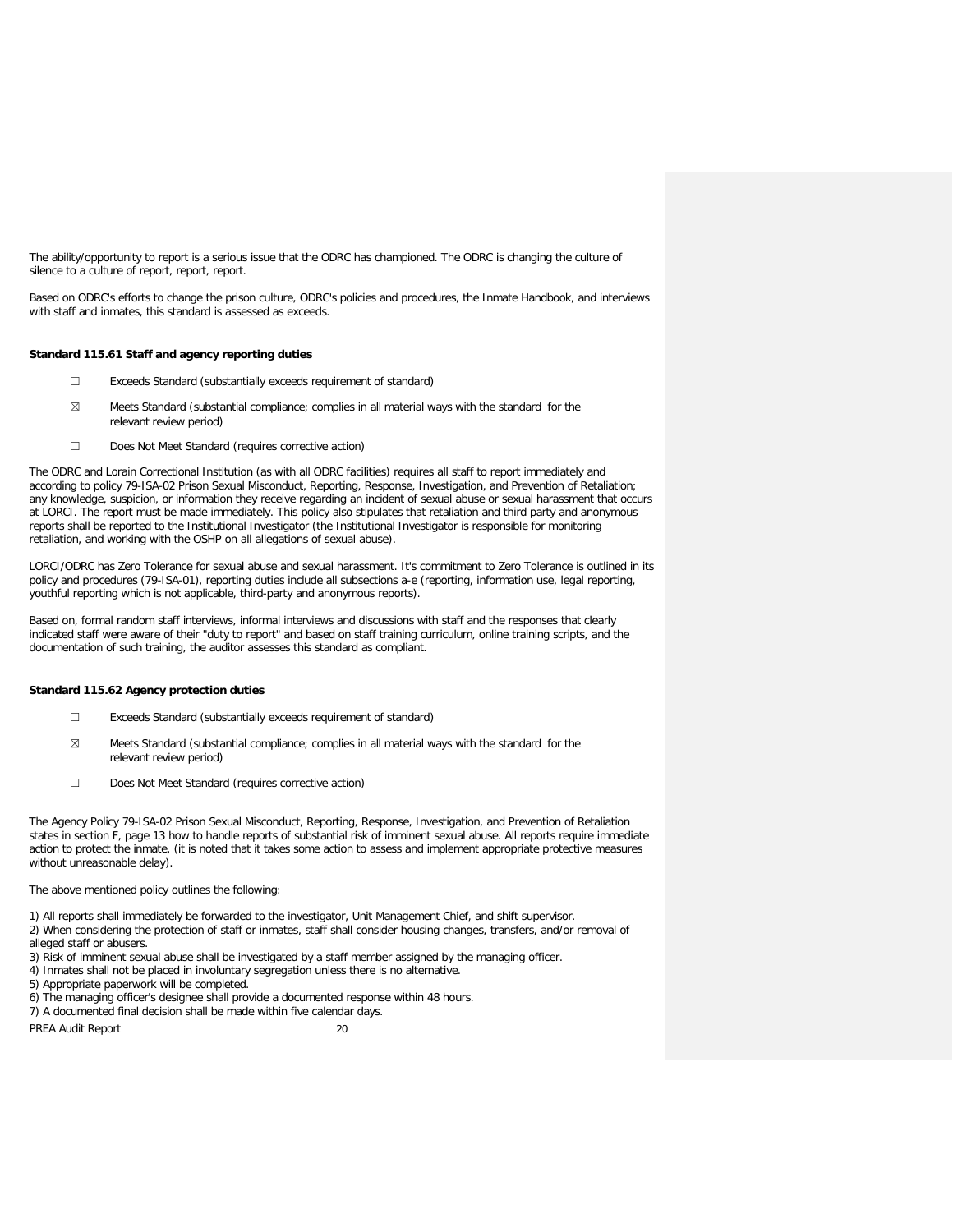The ability/opportunity to report is a serious issue that the ODRC has championed. The ODRC is changing the culture of silence to a culture of report, report, report.

Based on ODRC's efforts to change the prison culture, ODRC's policies and procedures, the Inmate Handbook, and interviews with staff and inmates, this standard is assessed as exceeds.

### **Standard 115.61 Staff and agency reporting duties**

- ☐ Exceeds Standard (substantially exceeds requirement of standard)
- $\boxtimes$  Meets Standard (substantial compliance; complies in all material ways with the standard for the relevant review period)
- ☐ Does Not Meet Standard (requires corrective action)

The ODRC and Lorain Correctional Institution (as with all ODRC facilities) requires all staff to report immediately and according to policy 79-ISA-02 Prison Sexual Misconduct, Reporting, Response, Investigation, and Prevention of Retaliation; any knowledge, suspicion, or information they receive regarding an incident of sexual abuse or sexual harassment that occurs at LORCI. The report must be made immediately. This policy also stipulates that retaliation and third party and anonymous reports shall be reported to the Institutional Investigator (the Institutional Investigator is responsible for monitoring retaliation, and working with the OSHP on all allegations of sexual abuse).

LORCI/ODRC has Zero Tolerance for sexual abuse and sexual harassment. It's commitment to Zero Tolerance is outlined in its policy and procedures (79-ISA-01), reporting duties include all subsections a-e (reporting, information use, legal reporting, youthful reporting which is not applicable, third-party and anonymous reports).

Based on, formal random staff interviews, informal interviews and discussions with staff and the responses that clearly indicated staff were aware of their "duty to report" and based on staff training curriculum, online training scripts, and the documentation of such training, the auditor assesses this standard as compliant.

### **Standard 115.62 Agency protection duties**

- ☐ Exceeds Standard (substantially exceeds requirement of standard)
- $\boxtimes$  Meets Standard (substantial compliance; complies in all material ways with the standard for the relevant review period)
- ☐ Does Not Meet Standard (requires corrective action)

The Agency Policy 79-ISA-02 Prison Sexual Misconduct, Reporting, Response, Investigation, and Prevention of Retaliation states in section F, page 13 how to handle reports of substantial risk of imminent sexual abuse. All reports require immediate action to protect the inmate, (it is noted that it takes some action to assess and implement appropriate protective measures without unreasonable delay).

The above mentioned policy outlines the following:

1) All reports shall immediately be forwarded to the investigator, Unit Management Chief, and shift supervisor.

2) When considering the protection of staff or inmates, staff shall consider housing changes, transfers, and/or removal of alleged staff or abusers.

3) Risk of imminent sexual abuse shall be investigated by a staff member assigned by the managing officer.

4) Inmates shall not be placed in involuntary segregation unless there is no alternative.

5) Appropriate paperwork will be completed.

- 6) The managing officer's designee shall provide a documented response within 48 hours.
- 7) A documented final decision shall be made within five calendar days.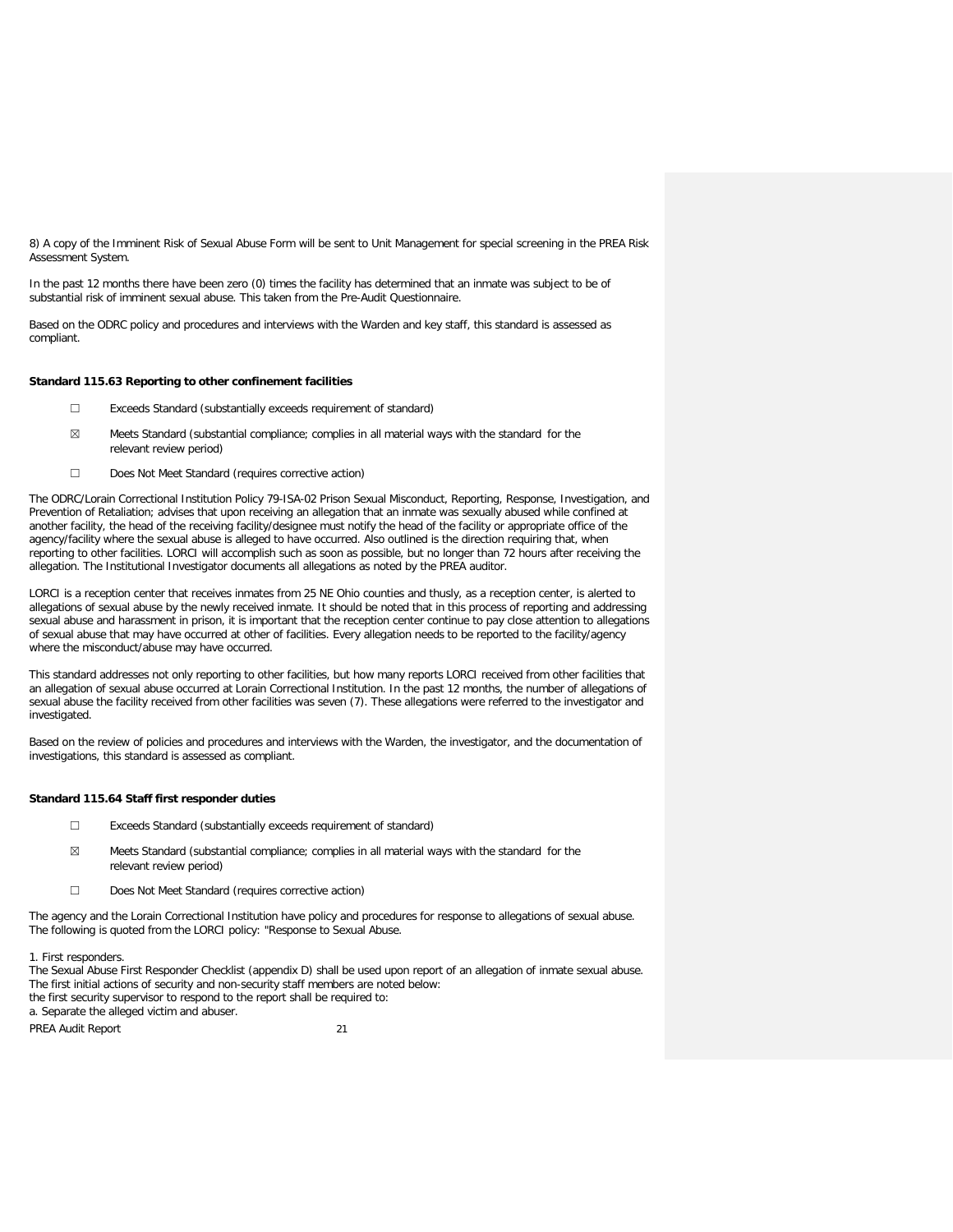8) A copy of the Imminent Risk of Sexual Abuse Form will be sent to Unit Management for special screening in the PREA Risk Assessment System.

In the past 12 months there have been zero (0) times the facility has determined that an inmate was subject to be of substantial risk of imminent sexual abuse. This taken from the Pre-Audit Questionnaire.

Based on the ODRC policy and procedures and interviews with the Warden and key staff, this standard is assessed as compliant.

#### **Standard 115.63 Reporting to other confinement facilities**

- ☐ Exceeds Standard (substantially exceeds requirement of standard)
- ☒ Meets Standard (substantial compliance; complies in all material ways with the standard for the relevant review period)
- ☐ Does Not Meet Standard (requires corrective action)

The ODRC/Lorain Correctional Institution Policy 79-ISA-02 Prison Sexual Misconduct, Reporting, Response, Investigation, and Prevention of Retaliation; advises that upon receiving an allegation that an inmate was sexually abused while confined at another facility, the head of the receiving facility/designee must notify the head of the facility or appropriate office of the agency/facility where the sexual abuse is alleged to have occurred. Also outlined is the direction requiring that, when reporting to other facilities. LORCI will accomplish such as soon as possible, but no longer than 72 hours after receiving the allegation. The Institutional Investigator documents all allegations as noted by the PREA auditor.

LORCI is a reception center that receives inmates from 25 NE Ohio counties and thusly, as a reception center, is alerted to allegations of sexual abuse by the newly received inmate. It should be noted that in this process of reporting and addressing sexual abuse and harassment in prison, it is important that the reception center continue to pay close attention to allegations of sexual abuse that may have occurred at other of facilities. Every allegation needs to be reported to the facility/agency where the misconduct/abuse may have occurred.

This standard addresses not only reporting to other facilities, but how many reports LORCI received from other facilities that an allegation of sexual abuse occurred at Lorain Correctional Institution. In the past 12 months, the number of allegations of sexual abuse the facility received from other facilities was seven (7). These allegations were referred to the investigator and investigated.

Based on the review of policies and procedures and interviews with the Warden, the investigator, and the documentation of investigations, this standard is assessed as compliant.

### **Standard 115.64 Staff first responder duties**

- ☐ Exceeds Standard (substantially exceeds requirement of standard)
- $\boxtimes$  Meets Standard (substantial compliance; complies in all material ways with the standard for the relevant review period)
- ☐ Does Not Meet Standard (requires corrective action)

The agency and the Lorain Correctional Institution have policy and procedures for response to allegations of sexual abuse. The following is quoted from the LORCI policy: "Response to Sexual Abuse.

1. First responders.

The Sexual Abuse First Responder Checklist (appendix D) shall be used upon report of an allegation of inmate sexual abuse. The first initial actions of security and non-security staff members are noted below: the first security supervisor to respond to the report shall be required to: a. Separate the alleged victim and abuser.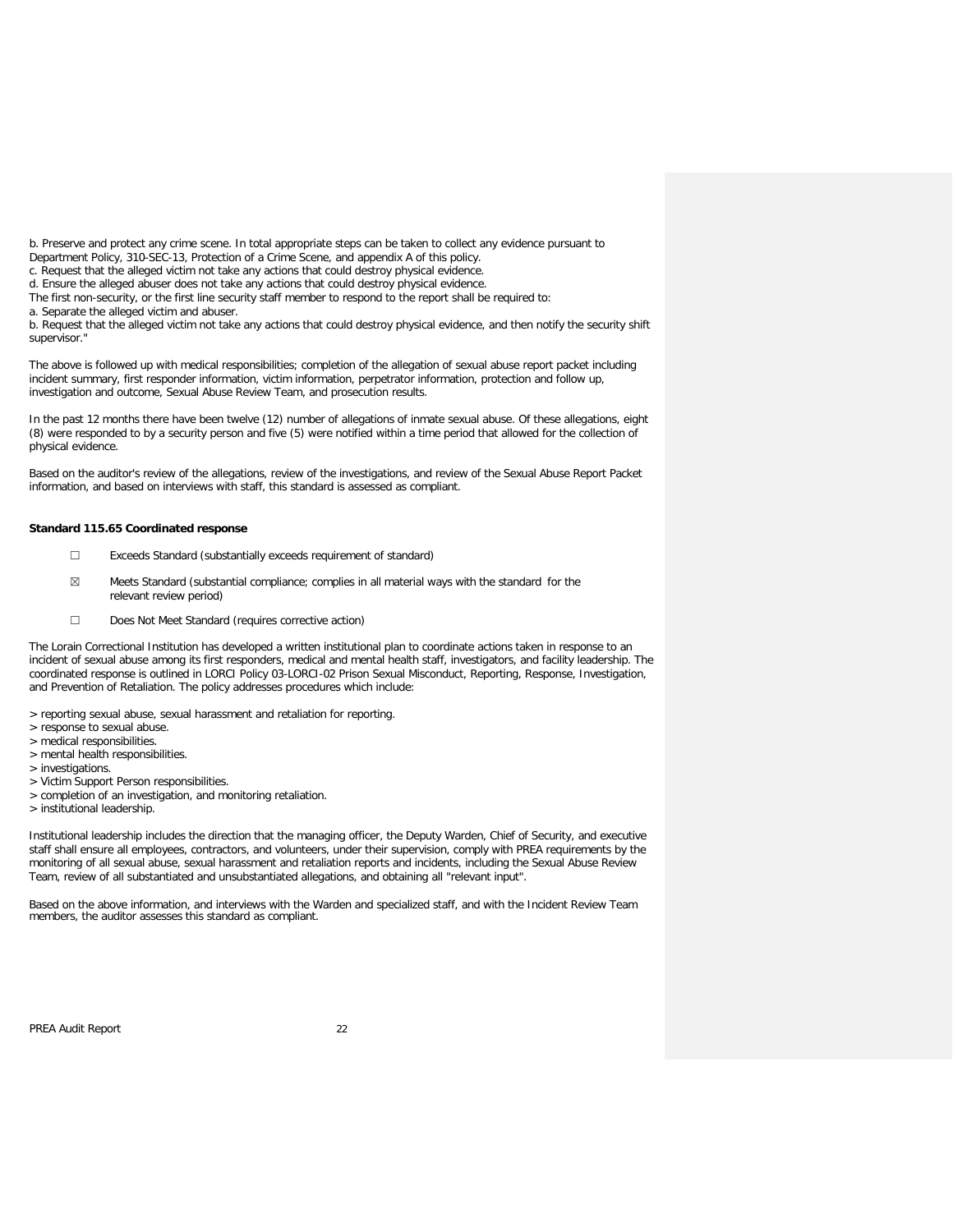b. Preserve and protect any crime scene. In total appropriate steps can be taken to collect any evidence pursuant to Department Policy, 310-SEC-13, Protection of a Crime Scene, and appendix A of this policy.

c. Request that the alleged victim not take any actions that could destroy physical evidence.

d. Ensure the alleged abuser does not take any actions that could destroy physical evidence.

The first non-security, or the first line security staff member to respond to the report shall be required to:

a. Separate the alleged victim and abuser.

b. Request that the alleged victim not take any actions that could destroy physical evidence, and then notify the security shift supervisor."

The above is followed up with medical responsibilities; completion of the allegation of sexual abuse report packet including incident summary, first responder information, victim information, perpetrator information, protection and follow up, investigation and outcome, Sexual Abuse Review Team, and prosecution results.

In the past 12 months there have been twelve (12) number of allegations of inmate sexual abuse. Of these allegations, eight (8) were responded to by a security person and five (5) were notified within a time period that allowed for the collection of physical evidence.

Based on the auditor's review of the allegations, review of the investigations, and review of the Sexual Abuse Report Packet information, and based on interviews with staff, this standard is assessed as compliant.

### **Standard 115.65 Coordinated response**

- ☐ Exceeds Standard (substantially exceeds requirement of standard)
- ☒ Meets Standard (substantial compliance; complies in all material ways with the standard for the relevant review period)
- ☐ Does Not Meet Standard (requires corrective action)

The Lorain Correctional Institution has developed a written institutional plan to coordinate actions taken in response to an incident of sexual abuse among its first responders, medical and mental health staff, investigators, and facility leadership. The coordinated response is outlined in LORCI Policy 03-LORCI-02 Prison Sexual Misconduct, Reporting, Response, Investigation, and Prevention of Retaliation. The policy addresses procedures which include:

> reporting sexual abuse, sexual harassment and retaliation for reporting.

- > response to sexual abuse.
- > medical responsibilities.
- > mental health responsibilities.
- > investigations.
- > Victim Support Person responsibilities.
- > completion of an investigation, and monitoring retaliation.
- > institutional leadership.

Institutional leadership includes the direction that the managing officer, the Deputy Warden, Chief of Security, and executive staff shall ensure all employees, contractors, and volunteers, under their supervision, comply with PREA requirements by the monitoring of all sexual abuse, sexual harassment and retaliation reports and incidents, including the Sexual Abuse Review Team, review of all substantiated and unsubstantiated allegations, and obtaining all "relevant input".

Based on the above information, and interviews with the Warden and specialized staff, and with the Incident Review Team members, the auditor assesses this standard as compliant.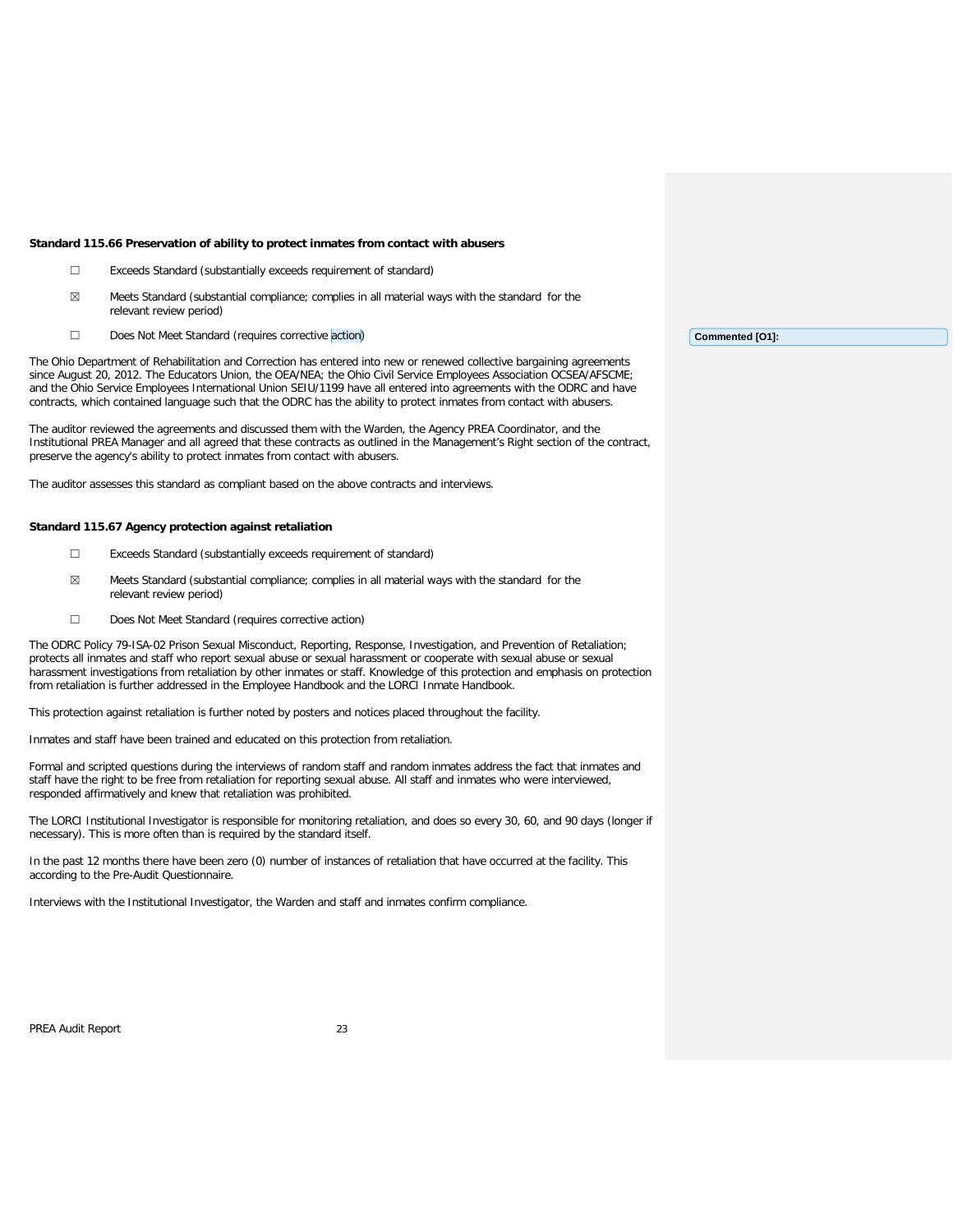#### **Standard 115.66 Preservation of ability to protect inmates from contact with abusers**

- ☐ Exceeds Standard (substantially exceeds requirement of standard)
- $\boxtimes$  Meets Standard (substantial compliance; complies in all material ways with the standard for the relevant review period)
- ☐ Does Not Meet Standard (requires corrective action)

The Ohio Department of Rehabilitation and Correction has entered into new or renewed collective bargaining agreements since August 20, 2012. The Educators Union, the OEA/NEA; the Ohio Civil Service Employees Association OCSEA/AFSCME; and the Ohio Service Employees International Union SEIU/1199 have all entered into agreements with the ODRC and have contracts, which contained language such that the ODRC has the ability to protect inmates from contact with abusers.

The auditor reviewed the agreements and discussed them with the Warden, the Agency PREA Coordinator, and the Institutional PREA Manager and all agreed that these contracts as outlined in the Management's Right section of the contract, preserve the agency's ability to protect inmates from contact with abusers.

The auditor assesses this standard as compliant based on the above contracts and interviews.

#### **Standard 115.67 Agency protection against retaliation**

- ☐ Exceeds Standard (substantially exceeds requirement of standard)
- ☒ Meets Standard (substantial compliance; complies in all material ways with the standard for the relevant review period)
- ☐ Does Not Meet Standard (requires corrective action)

The ODRC Policy 79-ISA-02 Prison Sexual Misconduct, Reporting, Response, Investigation, and Prevention of Retaliation; protects all inmates and staff who report sexual abuse or sexual harassment or cooperate with sexual abuse or sexual harassment investigations from retaliation by other inmates or staff. Knowledge of this protection and emphasis on protection from retaliation is further addressed in the Employee Handbook and the LORCI Inmate Handbook.

This protection against retaliation is further noted by posters and notices placed throughout the facility.

Inmates and staff have been trained and educated on this protection from retaliation.

Formal and scripted questions during the interviews of random staff and random inmates address the fact that inmates and staff have the right to be free from retaliation for reporting sexual abuse. All staff and inmates who were interviewed, responded affirmatively and knew that retaliation was prohibited.

The LORCI Institutional Investigator is responsible for monitoring retaliation, and does so every 30, 60, and 90 days (longer if necessary). This is more often than is required by the standard itself.

In the past 12 months there have been zero (0) number of instances of retaliation that have occurred at the facility. This according to the Pre-Audit Questionnaire.

Interviews with the Institutional Investigator, the Warden and staff and inmates confirm compliance.

PREA Audit Report 23

**Commented [O1]:**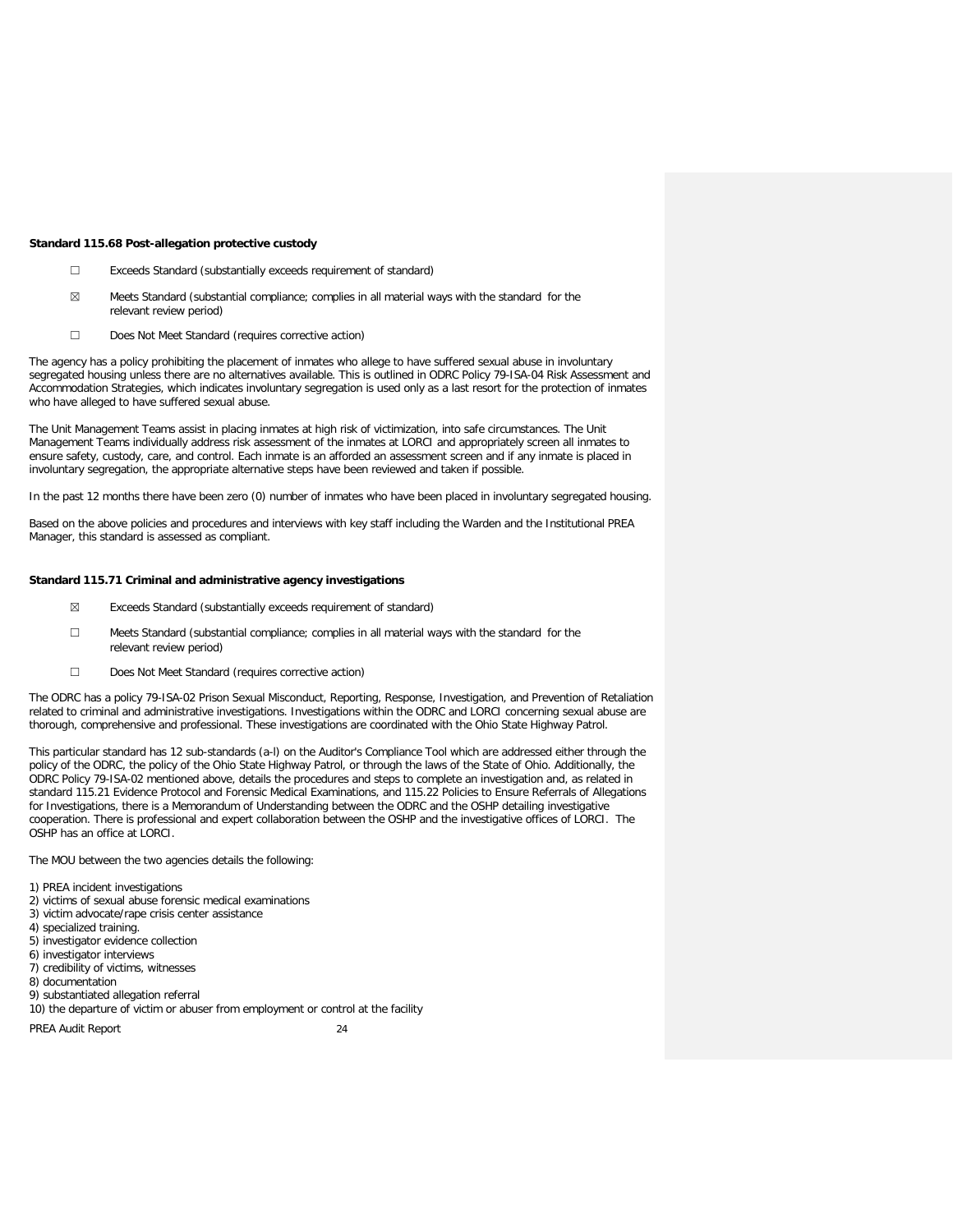#### **Standard 115.68 Post-allegation protective custody**

- ☐ Exceeds Standard (substantially exceeds requirement of standard)
- $\boxtimes$  Meets Standard (substantial compliance; complies in all material ways with the standard for the relevant review period)
- ☐ Does Not Meet Standard (requires corrective action)

The agency has a policy prohibiting the placement of inmates who allege to have suffered sexual abuse in involuntary segregated housing unless there are no alternatives available. This is outlined in ODRC Policy 79-ISA-04 Risk Assessment and Accommodation Strategies, which indicates involuntary segregation is used only as a last resort for the protection of inmates who have alleged to have suffered sexual abuse.

The Unit Management Teams assist in placing inmates at high risk of victimization, into safe circumstances. The Unit Management Teams individually address risk assessment of the inmates at LORCI and appropriately screen all inmates to ensure safety, custody, care, and control. Each inmate is an afforded an assessment screen and if any inmate is placed in involuntary segregation, the appropriate alternative steps have been reviewed and taken if possible.

In the past 12 months there have been zero (0) number of inmates who have been placed in involuntary segregated housing.

Based on the above policies and procedures and interviews with key staff including the Warden and the Institutional PREA Manager, this standard is assessed as compliant.

### **Standard 115.71 Criminal and administrative agency investigations**

- ☒ Exceeds Standard (substantially exceeds requirement of standard)
- ☐ Meets Standard (substantial compliance; complies in all material ways with the standard for the relevant review period)
- ☐ Does Not Meet Standard (requires corrective action)

The ODRC has a policy 79-ISA-02 Prison Sexual Misconduct, Reporting, Response, Investigation, and Prevention of Retaliation related to criminal and administrative investigations. Investigations within the ODRC and LORCI concerning sexual abuse are thorough, comprehensive and professional. These investigations are coordinated with the Ohio State Highway Patrol.

This particular standard has 12 sub-standards (a-l) on the Auditor's Compliance Tool which are addressed either through the policy of the ODRC, the policy of the Ohio State Highway Patrol, or through the laws of the State of Ohio. Additionally, the ODRC Policy 79-ISA-02 mentioned above, details the procedures and steps to complete an investigation and, as related in standard 115.21 Evidence Protocol and Forensic Medical Examinations, and 115.22 Policies to Ensure Referrals of Allegations for Investigations, there is a Memorandum of Understanding between the ODRC and the OSHP detailing investigative cooperation. There is professional and expert collaboration between the OSHP and the investigative offices of LORCI. The OSHP has an office at LORCI.

The MOU between the two agencies details the following:

- 1) PREA incident investigations
- 2) victims of sexual abuse forensic medical examinations
- 3) victim advocate/rape crisis center assistance
- 4) specialized training.
- 5) investigator evidence collection
- 6) investigator interviews
- 7) credibility of victims, witnesses
- 8) documentation
- 9) substantiated allegation referral
- 10) the departure of victim or abuser from employment or control at the facility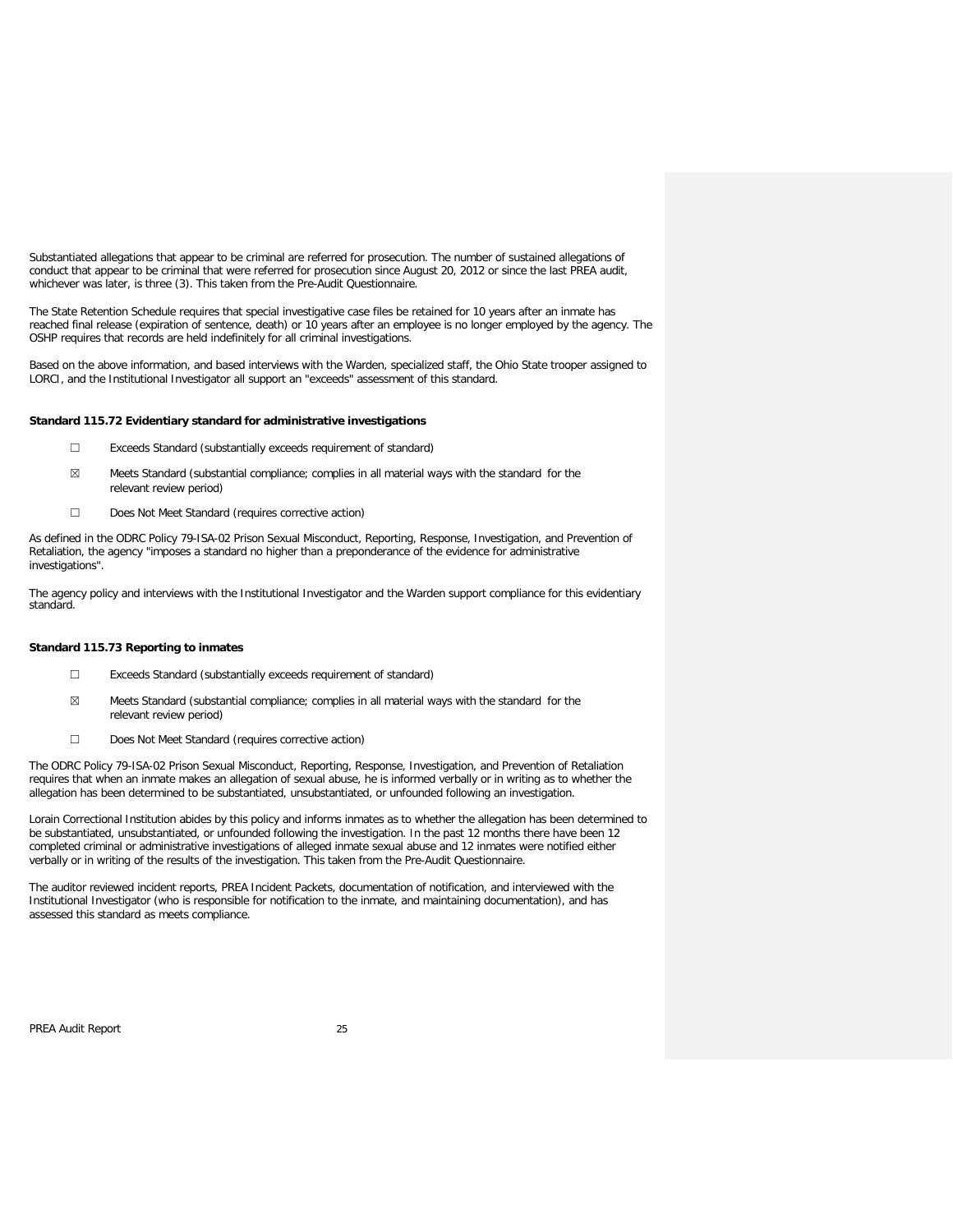Substantiated allegations that appear to be criminal are referred for prosecution. The number of sustained allegations of conduct that appear to be criminal that were referred for prosecution since August 20, 2012 or since the last PREA audit, whichever was later, is three (3). This taken from the Pre-Audit Questionnaire.

The State Retention Schedule requires that special investigative case files be retained for 10 years after an inmate has reached final release (expiration of sentence, death) or 10 years after an employee is no longer employed by the agency. The OSHP requires that records are held indefinitely for all criminal investigations.

Based on the above information, and based interviews with the Warden, specialized staff, the Ohio State trooper assigned to LORCI, and the Institutional Investigator all support an "exceeds" assessment of this standard.

### **Standard 115.72 Evidentiary standard for administrative investigations**

- ☐ Exceeds Standard (substantially exceeds requirement of standard)
- $\boxtimes$  Meets Standard (substantial compliance; complies in all material ways with the standard for the relevant review period)
- ☐ Does Not Meet Standard (requires corrective action)

As defined in the ODRC Policy 79-ISA-02 Prison Sexual Misconduct, Reporting, Response, Investigation, and Prevention of Retaliation, the agency "imposes a standard no higher than a preponderance of the evidence for administrative investigations".

The agency policy and interviews with the Institutional Investigator and the Warden support compliance for this evidentiary standard.

### **Standard 115.73 Reporting to inmates**

- ☐ Exceeds Standard (substantially exceeds requirement of standard)
- ☒ Meets Standard (substantial compliance; complies in all material ways with the standard for the relevant review period)
- ☐ Does Not Meet Standard (requires corrective action)

The ODRC Policy 79-ISA-02 Prison Sexual Misconduct, Reporting, Response, Investigation, and Prevention of Retaliation requires that when an inmate makes an allegation of sexual abuse, he is informed verbally or in writing as to whether the allegation has been determined to be substantiated, unsubstantiated, or unfounded following an investigation.

Lorain Correctional Institution abides by this policy and informs inmates as to whether the allegation has been determined to be substantiated, unsubstantiated, or unfounded following the investigation. In the past 12 months there have been 12 completed criminal or administrative investigations of alleged inmate sexual abuse and 12 inmates were notified either verbally or in writing of the results of the investigation. This taken from the Pre-Audit Questionnaire.

The auditor reviewed incident reports, PREA Incident Packets, documentation of notification, and interviewed with the Institutional Investigator (who is responsible for notification to the inmate, and maintaining documentation), and has assessed this standard as meets compliance.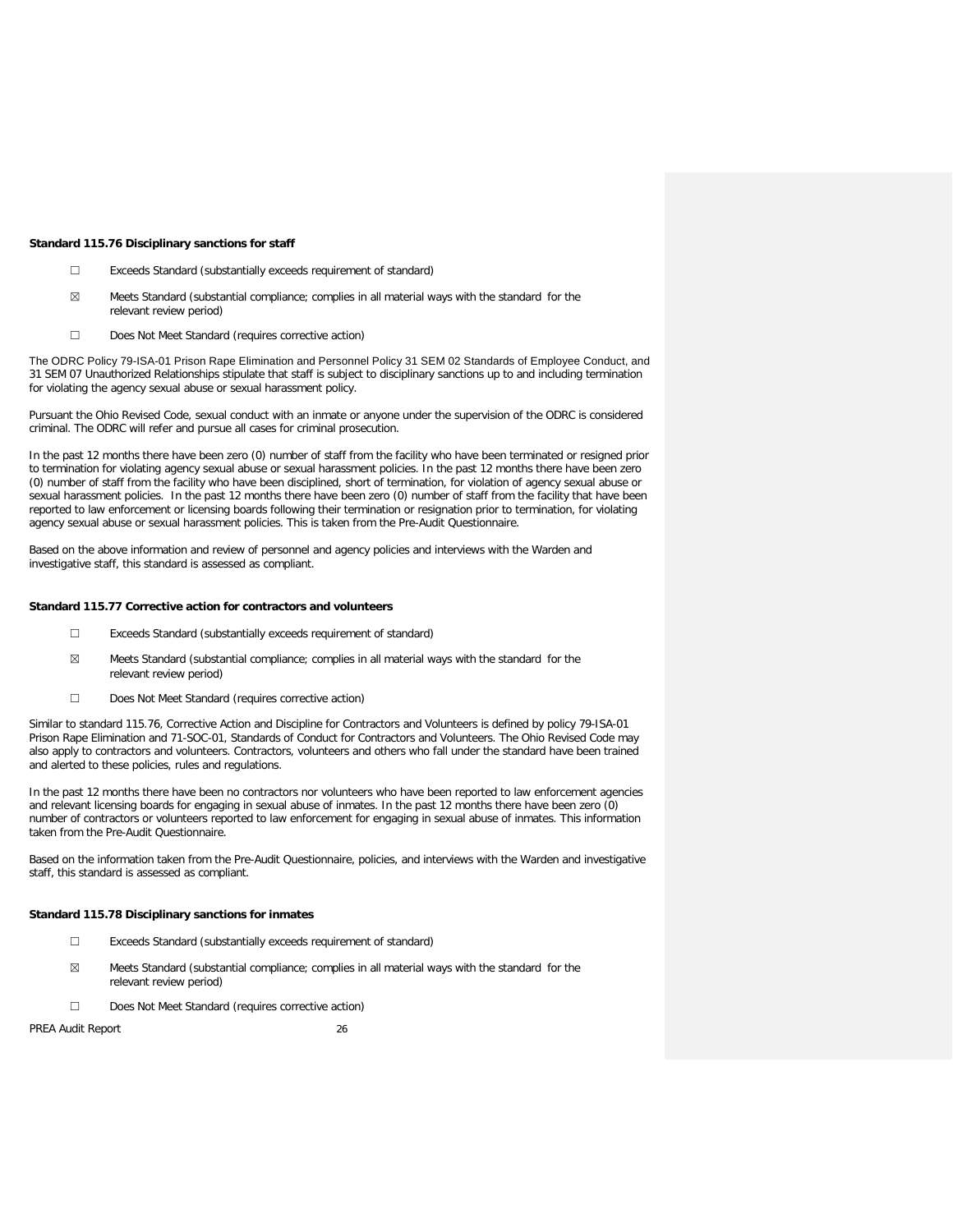#### **Standard 115.76 Disciplinary sanctions for staff**

- ☐ Exceeds Standard (substantially exceeds requirement of standard)
- $\boxtimes$  Meets Standard (substantial compliance; complies in all material ways with the standard for the relevant review period)
- ☐ Does Not Meet Standard (requires corrective action)

The ODRC Policy 79-ISA-01 Prison Rape Elimination and Personnel Policy 31 SEM 02 Standards of Employee Conduct, and 31 SEM 07 Unauthorized Relationships stipulate that staff is subject to disciplinary sanctions up to and including termination for violating the agency sexual abuse or sexual harassment policy.

Pursuant the Ohio Revised Code, sexual conduct with an inmate or anyone under the supervision of the ODRC is considered criminal. The ODRC will refer and pursue all cases for criminal prosecution.

In the past 12 months there have been zero (0) number of staff from the facility who have been terminated or resigned prior to termination for violating agency sexual abuse or sexual harassment policies. In the past 12 months there have been zero (0) number of staff from the facility who have been disciplined, short of termination, for violation of agency sexual abuse or sexual harassment policies. In the past 12 months there have been zero (0) number of staff from the facility that have been reported to law enforcement or licensing boards following their termination or resignation prior to termination, for violating agency sexual abuse or sexual harassment policies. This is taken from the Pre-Audit Questionnaire.

Based on the above information and review of personnel and agency policies and interviews with the Warden and investigative staff, this standard is assessed as compliant.

### **Standard 115.77 Corrective action for contractors and volunteers**

- ☐ Exceeds Standard (substantially exceeds requirement of standard)
- ☒ Meets Standard (substantial compliance; complies in all material ways with the standard for the relevant review period)
- ☐ Does Not Meet Standard (requires corrective action)

Similar to standard 115.76, Corrective Action and Discipline for Contractors and Volunteers is defined by policy 79-ISA-01 Prison Rape Elimination and 71-SOC-01, Standards of Conduct for Contractors and Volunteers. The Ohio Revised Code may also apply to contractors and volunteers. Contractors, volunteers and others who fall under the standard have been trained and alerted to these policies, rules and regulations.

In the past 12 months there have been no contractors nor volunteers who have been reported to law enforcement agencies and relevant licensing boards for engaging in sexual abuse of inmates. In the past 12 months there have been zero (0) number of contractors or volunteers reported to law enforcement for engaging in sexual abuse of inmates. This information taken from the Pre-Audit Questionnaire.

Based on the information taken from the Pre-Audit Questionnaire, policies, and interviews with the Warden and investigative staff, this standard is assessed as compliant.

### **Standard 115.78 Disciplinary sanctions for inmates**

- ☐ Exceeds Standard (substantially exceeds requirement of standard)
- ☒ Meets Standard (substantial compliance; complies in all material ways with the standard for the relevant review period)
- ☐ Does Not Meet Standard (requires corrective action)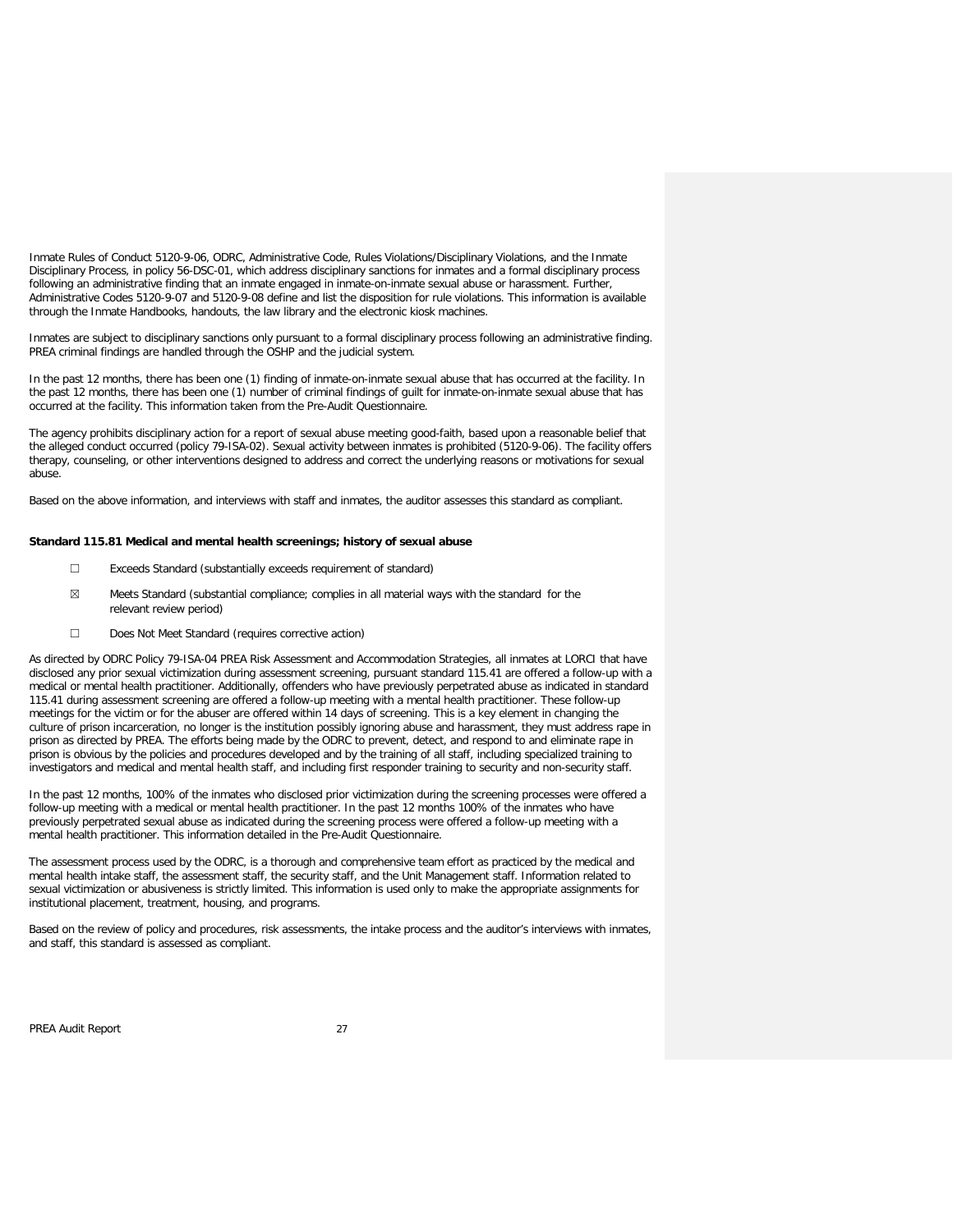Inmate Rules of Conduct 5120-9-06, ODRC, Administrative Code, Rules Violations/Disciplinary Violations, and the Inmate Disciplinary Process, in policy 56-DSC-01, which address disciplinary sanctions for inmates and a formal disciplinary process following an administrative finding that an inmate engaged in inmate-on-inmate sexual abuse or harassment. Further, Administrative Codes 5120-9-07 and 5120-9-08 define and list the disposition for rule violations. This information is available through the Inmate Handbooks, handouts, the law library and the electronic kiosk machines.

Inmates are subject to disciplinary sanctions only pursuant to a formal disciplinary process following an administrative finding. PREA criminal findings are handled through the OSHP and the judicial system.

In the past 12 months, there has been one (1) finding of inmate-on-inmate sexual abuse that has occurred at the facility. In the past 12 months, there has been one (1) number of criminal findings of guilt for inmate-on-inmate sexual abuse that has occurred at the facility. This information taken from the Pre-Audit Questionnaire.

The agency prohibits disciplinary action for a report of sexual abuse meeting good-faith, based upon a reasonable belief that the alleged conduct occurred (policy 79-ISA-02). Sexual activity between inmates is prohibited (5120-9-06). The facility offers therapy, counseling, or other interventions designed to address and correct the underlying reasons or motivations for sexual abuse.

Based on the above information, and interviews with staff and inmates, the auditor assesses this standard as compliant.

### **Standard 115.81 Medical and mental health screenings; history of sexual abuse**

- ☐ Exceeds Standard (substantially exceeds requirement of standard)
- $\boxtimes$  Meets Standard (substantial compliance; complies in all material ways with the standard for the relevant review period)
- ☐ Does Not Meet Standard (requires corrective action)

As directed by ODRC Policy 79-ISA-04 PREA Risk Assessment and Accommodation Strategies, all inmates at LORCI that have disclosed any prior sexual victimization during assessment screening, pursuant standard 115.41 are offered a follow-up with a medical or mental health practitioner. Additionally, offenders who have previously perpetrated abuse as indicated in standard 115.41 during assessment screening are offered a follow-up meeting with a mental health practitioner. These follow-up meetings for the victim or for the abuser are offered within 14 days of screening. This is a key element in changing the culture of prison incarceration, no longer is the institution possibly ignoring abuse and harassment, they must address rape in prison as directed by PREA. The efforts being made by the ODRC to prevent, detect, and respond to and eliminate rape in prison is obvious by the policies and procedures developed and by the training of all staff, including specialized training to investigators and medical and mental health staff, and including first responder training to security and non-security staff.

In the past 12 months, 100% of the inmates who disclosed prior victimization during the screening processes were offered a follow-up meeting with a medical or mental health practitioner. In the past 12 months 100% of the inmates who have previously perpetrated sexual abuse as indicated during the screening process were offered a follow-up meeting with a mental health practitioner. This information detailed in the Pre-Audit Questionnaire.

The assessment process used by the ODRC, is a thorough and comprehensive team effort as practiced by the medical and mental health intake staff, the assessment staff, the security staff, and the Unit Management staff. Information related to sexual victimization or abusiveness is strictly limited. This information is used only to make the appropriate assignments for institutional placement, treatment, housing, and programs.

Based on the review of policy and procedures, risk assessments, the intake process and the auditor's interviews with inmates, and staff, this standard is assessed as compliant.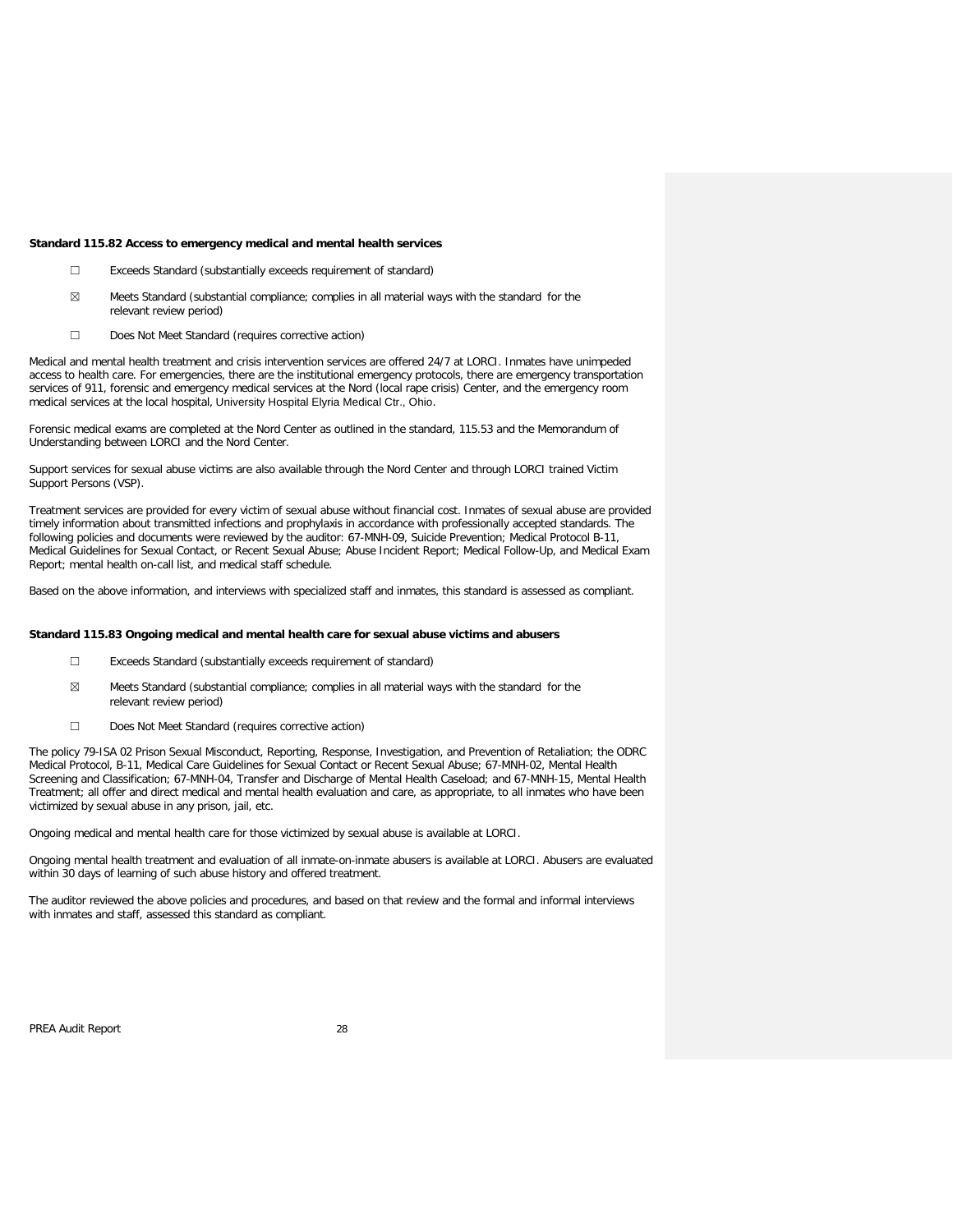### **Standard 115.82 Access to emergency medical and mental health services**

- ☐ Exceeds Standard (substantially exceeds requirement of standard)
- $\boxtimes$  Meets Standard (substantial compliance; complies in all material ways with the standard for the relevant review period)
- ☐ Does Not Meet Standard (requires corrective action)

Medical and mental health treatment and crisis intervention services are offered 24/7 at LORCI. Inmates have unimpeded access to health care. For emergencies, there are the institutional emergency protocols, there are emergency transportation services of 911, forensic and emergency medical services at the Nord (local rape crisis) Center, and the emergency room medical services at the local hospital, University Hospital Elyria Medical Ctr., Ohio.

Forensic medical exams are completed at the Nord Center as outlined in the standard, 115.53 and the Memorandum of Understanding between LORCI and the Nord Center.

Support services for sexual abuse victims are also available through the Nord Center and through LORCI trained Victim Support Persons (VSP).

Treatment services are provided for every victim of sexual abuse without financial cost. Inmates of sexual abuse are provided timely information about transmitted infections and prophylaxis in accordance with professionally accepted standards. The following policies and documents were reviewed by the auditor: 67-MNH-09, Suicide Prevention; Medical Protocol B-11, Medical Guidelines for Sexual Contact, or Recent Sexual Abuse; Abuse Incident Report; Medical Follow-Up, and Medical Exam Report; mental health on-call list, and medical staff schedule.

Based on the above information, and interviews with specialized staff and inmates, this standard is assessed as compliant.

### **Standard 115.83 Ongoing medical and mental health care for sexual abuse victims and abusers**

- ☐ Exceeds Standard (substantially exceeds requirement of standard)
- $\boxtimes$  Meets Standard (substantial compliance; complies in all material ways with the standard for the relevant review period)
- ☐ Does Not Meet Standard (requires corrective action)

The policy 79-ISA 02 Prison Sexual Misconduct, Reporting, Response, Investigation, and Prevention of Retaliation; the ODRC Medical Protocol, B-11, Medical Care Guidelines for Sexual Contact or Recent Sexual Abuse; 67-MNH-02, Mental Health Screening and Classification; 67-MNH-04, Transfer and Discharge of Mental Health Caseload; and 67-MNH-15, Mental Health Treatment; all offer and direct medical and mental health evaluation and care, as appropriate, to all inmates who have been victimized by sexual abuse in any prison, jail, etc.

Ongoing medical and mental health care for those victimized by sexual abuse is available at LORCI.

Ongoing mental health treatment and evaluation of all inmate-on-inmate abusers is available at LORCI. Abusers are evaluated within 30 days of learning of such abuse history and offered treatment.

The auditor reviewed the above policies and procedures, and based on that review and the formal and informal interviews with inmates and staff, assessed this standard as compliant.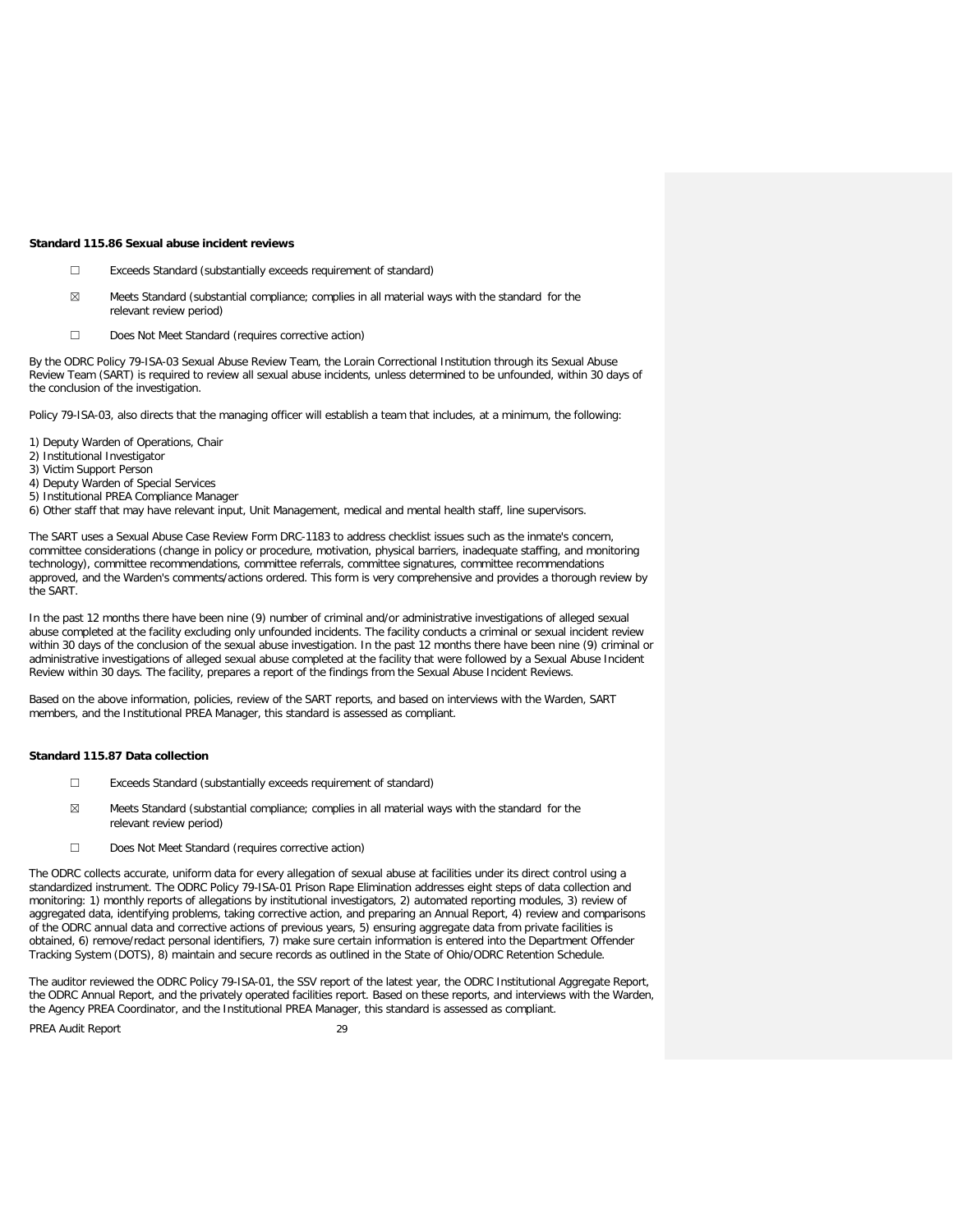#### **Standard 115.86 Sexual abuse incident reviews**

- ☐ Exceeds Standard (substantially exceeds requirement of standard)
- ☒ Meets Standard (substantial compliance; complies in all material ways with the standard for the relevant review period)
- ☐ Does Not Meet Standard (requires corrective action)

By the ODRC Policy 79-ISA-03 Sexual Abuse Review Team, the Lorain Correctional Institution through its Sexual Abuse Review Team (SART) is required to review all sexual abuse incidents, unless determined to be unfounded, within 30 days of the conclusion of the investigation.

Policy 79-ISA-03, also directs that the managing officer will establish a team that includes, at a minimum, the following:

- 1) Deputy Warden of Operations, Chair
- 2) Institutional Investigator
- 3) Victim Support Person
- 4) Deputy Warden of Special Services
- 5) Institutional PREA Compliance Manager
- 6) Other staff that may have relevant input, Unit Management, medical and mental health staff, line supervisors.

The SART uses a Sexual Abuse Case Review Form DRC-1183 to address checklist issues such as the inmate's concern, committee considerations (change in policy or procedure, motivation, physical barriers, inadequate staffing, and monitoring technology), committee recommendations, committee referrals, committee signatures, committee recommendations approved, and the Warden's comments/actions ordered. This form is very comprehensive and provides a thorough review by the SART.

In the past 12 months there have been nine (9) number of criminal and/or administrative investigations of alleged sexual abuse completed at the facility excluding only unfounded incidents. The facility conducts a criminal or sexual incident review within 30 days of the conclusion of the sexual abuse investigation. In the past 12 months there have been nine (9) criminal or administrative investigations of alleged sexual abuse completed at the facility that were followed by a Sexual Abuse Incident Review within 30 days. The facility, prepares a report of the findings from the Sexual Abuse Incident Reviews.

Based on the above information, policies, review of the SART reports, and based on interviews with the Warden, SART members, and the Institutional PREA Manager, this standard is assessed as compliant.

### **Standard 115.87 Data collection**

- ☐ Exceeds Standard (substantially exceeds requirement of standard)
- $\boxtimes$  Meets Standard (substantial compliance; complies in all material ways with the standard for the relevant review period)
- ☐ Does Not Meet Standard (requires corrective action)

The ODRC collects accurate, uniform data for every allegation of sexual abuse at facilities under its direct control using a standardized instrument. The ODRC Policy 79-ISA-01 Prison Rape Elimination addresses eight steps of data collection and monitoring: 1) monthly reports of allegations by institutional investigators, 2) automated reporting modules, 3) review of aggregated data, identifying problems, taking corrective action, and preparing an Annual Report, 4) review and comparisons of the ODRC annual data and corrective actions of previous years, 5) ensuring aggregate data from private facilities is obtained, 6) remove/redact personal identifiers, 7) make sure certain information is entered into the Department Offender Tracking System (DOTS), 8) maintain and secure records as outlined in the State of Ohio/ODRC Retention Schedule.

The auditor reviewed the ODRC Policy 79-ISA-01, the SSV report of the latest year, the ODRC Institutional Aggregate Report, the ODRC Annual Report, and the privately operated facilities report. Based on these reports, and interviews with the Warden, the Agency PREA Coordinator, and the Institutional PREA Manager, this standard is assessed as compliant.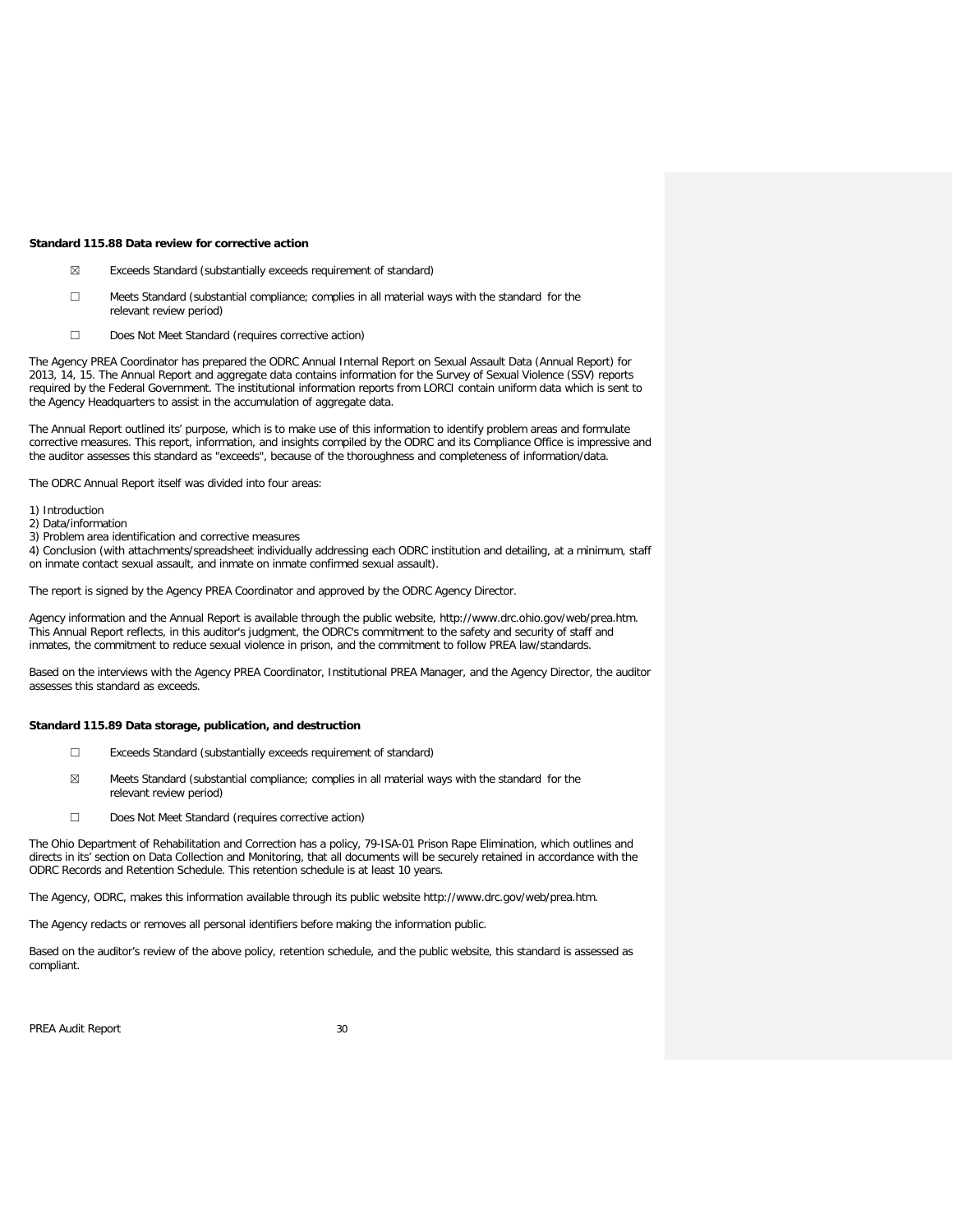#### **Standard 115.88 Data review for corrective action**

- ☒ Exceeds Standard (substantially exceeds requirement of standard)
- ☐ Meets Standard (substantial compliance; complies in all material ways with the standard for the relevant review period)
- ☐ Does Not Meet Standard (requires corrective action)

The Agency PREA Coordinator has prepared the ODRC Annual Internal Report on Sexual Assault Data (Annual Report) for 2013, 14, 15. The Annual Report and aggregate data contains information for the Survey of Sexual Violence (SSV) reports required by the Federal Government. The institutional information reports from LORCI contain uniform data which is sent to the Agency Headquarters to assist in the accumulation of aggregate data.

The Annual Report outlined its' purpose, which is to make use of this information to identify problem areas and formulate corrective measures. This report, information, and insights compiled by the ODRC and its Compliance Office is impressive and the auditor assesses this standard as "exceeds", because of the thoroughness and completeness of information/data.

The ODRC Annual Report itself was divided into four areas:

- 1) Introduction
- 2) Data/information
- 3) Problem area identification and corrective measures

4) Conclusion (with attachments/spreadsheet individually addressing each ODRC institution and detailing, at a minimum, staff on inmate contact sexual assault, and inmate on inmate confirmed sexual assault).

The report is signed by the Agency PREA Coordinator and approved by the ODRC Agency Director.

Agency information and the Annual Report is available through the public website, http://www.drc.ohio.gov/web/prea.htm. This Annual Report reflects, in this auditor's judgment, the ODRC's commitment to the safety and security of staff and inmates, the commitment to reduce sexual violence in prison, and the commitment to follow PREA law/standards.

Based on the interviews with the Agency PREA Coordinator, Institutional PREA Manager, and the Agency Director, the auditor assesses this standard as exceeds.

### **Standard 115.89 Data storage, publication, and destruction**

- ☐ Exceeds Standard (substantially exceeds requirement of standard)
- ☒ Meets Standard (substantial compliance; complies in all material ways with the standard for the relevant review period)
- ☐ Does Not Meet Standard (requires corrective action)

The Ohio Department of Rehabilitation and Correction has a policy, 79-ISA-01 Prison Rape Elimination, which outlines and directs in its' section on Data Collection and Monitoring, that all documents will be securely retained in accordance with the ODRC Records and Retention Schedule. This retention schedule is at least 10 years.

The Agency, ODRC, makes this information available through its public website http://www.drc.gov/web/prea.htm.

The Agency redacts or removes all personal identifiers before making the information public.

Based on the auditor's review of the above policy, retention schedule, and the public website, this standard is assessed as compliant.